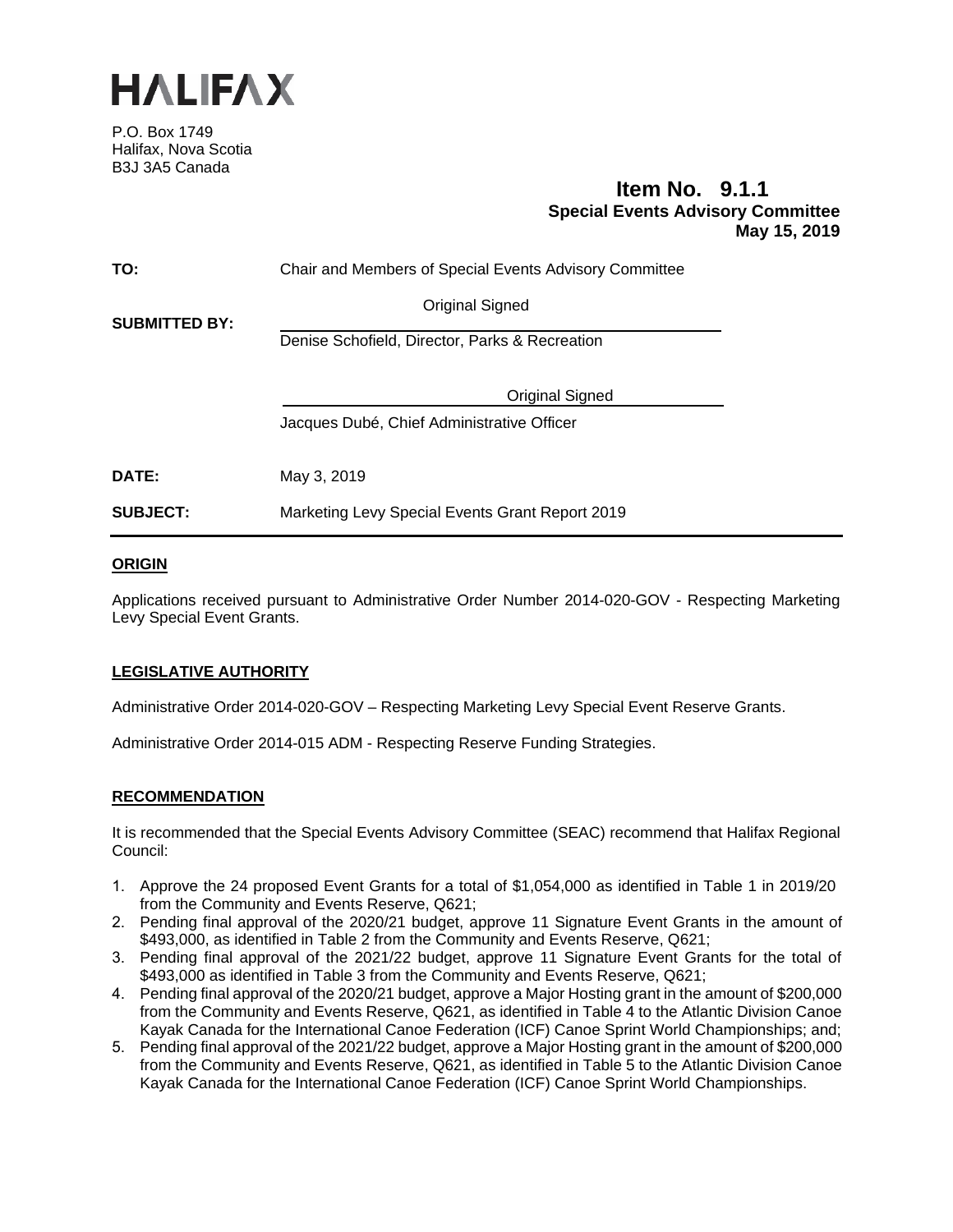

P.O. Box 1749 Halifax, Nova Scotia B3J 3A5 Canada

# **Item No. 9.1.1 Special Events Advisory Committee May 15, 2019**

| TO:                  | Chair and Members of Special Events Advisory Committee |
|----------------------|--------------------------------------------------------|
| <b>SUBMITTED BY:</b> | <b>Original Signed</b>                                 |
|                      | Denise Schofield, Director, Parks & Recreation         |
|                      | <b>Original Signed</b>                                 |
|                      | Jacques Dubé, Chief Administrative Officer             |
| <b>DATE:</b>         | May 3, 2019                                            |
| <b>SUBJECT:</b>      | Marketing Levy Special Events Grant Report 2019        |
|                      |                                                        |

# **ORIGIN**

Applications received pursuant to Administrative Order Number 2014-020-GOV - Respecting Marketing Levy Special Event Grants.

# **LEGISLATIVE AUTHORITY**

Administrative Order 2014-020-GOV – Respecting Marketing Levy Special Event Reserve Grants.

Administrative Order 2014-015 ADM - Respecting Reserve Funding Strategies.

### **RECOMMENDATION**

It is recommended that the Special Events Advisory Committee (SEAC) recommend that Halifax Regional Council:

- 1. Approve the 24 proposed Event Grants for a total of \$1,054,000 as identified in Table 1 in 2019/20 from the Community and Events Reserve, Q621;
- 2. Pending final approval of the 2020/21 budget, approve 11 Signature Event Grants in the amount of \$493,000, as identified in Table 2 from the Community and Events Reserve, Q621;
- 3. Pending final approval of the 2021/22 budget, approve 11 Signature Event Grants for the total of \$493,000 as identified in Table 3 from the Community and Events Reserve, Q621;
- 4. Pending final approval of the 2020/21 budget, approve a Major Hosting grant in the amount of \$200,000 from the Community and Events Reserve, Q621, as identified in Table 4 to the Atlantic Division Canoe Kayak Canada for the International Canoe Federation (ICF) Canoe Sprint World Championships; and;
- 5. Pending final approval of the 2021/22 budget, approve a Major Hosting grant in the amount of \$200,000 from the Community and Events Reserve, Q621, as identified in Table 5 to the Atlantic Division Canoe Kayak Canada for the International Canoe Federation (ICF) Canoe Sprint World Championships.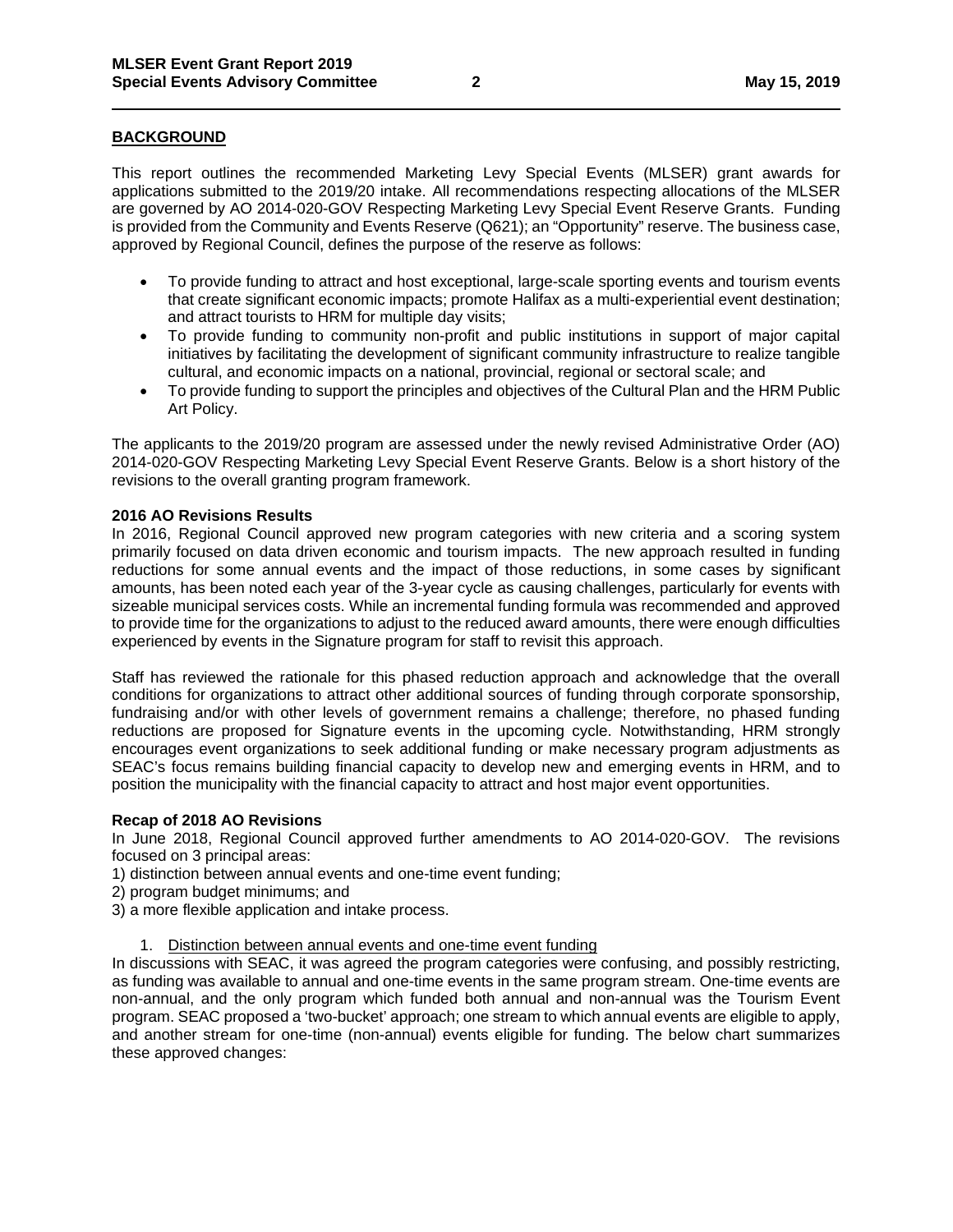# **BACKGROUND**

This report outlines the recommended Marketing Levy Special Events (MLSER) grant awards for applications submitted to the 2019/20 intake. All recommendations respecting allocations of the MLSER are governed by AO 2014-020-GOV Respecting Marketing Levy Special Event Reserve Grants. Funding is provided from the Community and Events Reserve (Q621); an "Opportunity" reserve. The business case, approved by Regional Council, defines the purpose of the reserve as follows:

- To provide funding to attract and host exceptional, large-scale sporting events and tourism events that create significant economic impacts; promote Halifax as a multi-experiential event destination; and attract tourists to HRM for multiple day visits;
- To provide funding to community non-profit and public institutions in support of major capital initiatives by facilitating the development of significant community infrastructure to realize tangible cultural, and economic impacts on a national, provincial, regional or sectoral scale; and
- To provide funding to support the principles and objectives of the Cultural Plan and the HRM Public Art Policy.

The applicants to the 2019/20 program are assessed under the newly revised Administrative Order (AO) 2014-020-GOV Respecting Marketing Levy Special Event Reserve Grants. Below is a short history of the revisions to the overall granting program framework.

### **2016 AO Revisions Results**

In 2016, Regional Council approved new program categories with new criteria and a scoring system primarily focused on data driven economic and tourism impacts. The new approach resulted in funding reductions for some annual events and the impact of those reductions, in some cases by significant amounts, has been noted each year of the 3-year cycle as causing challenges, particularly for events with sizeable municipal services costs. While an incremental funding formula was recommended and approved to provide time for the organizations to adjust to the reduced award amounts, there were enough difficulties experienced by events in the Signature program for staff to revisit this approach.

Staff has reviewed the rationale for this phased reduction approach and acknowledge that the overall conditions for organizations to attract other additional sources of funding through corporate sponsorship, fundraising and/or with other levels of government remains a challenge; therefore, no phased funding reductions are proposed for Signature events in the upcoming cycle. Notwithstanding, HRM strongly encourages event organizations to seek additional funding or make necessary program adjustments as SEAC's focus remains building financial capacity to develop new and emerging events in HRM, and to position the municipality with the financial capacity to attract and host major event opportunities.

### **Recap of 2018 AO Revisions**

In June 2018, Regional Council approved further amendments to AO 2014-020-GOV. The revisions focused on 3 principal areas:

- 1) distinction between annual events and one-time event funding;
- 2) program budget minimums; and
- 3) a more flexible application and intake process.
	- 1. Distinction between annual events and one-time event funding

In discussions with SEAC, it was agreed the program categories were confusing, and possibly restricting, as funding was available to annual and one-time events in the same program stream. One-time events are non-annual, and the only program which funded both annual and non-annual was the Tourism Event program. SEAC proposed a 'two-bucket' approach; one stream to which annual events are eligible to apply, and another stream for one-time (non-annual) events eligible for funding. The below chart summarizes these approved changes: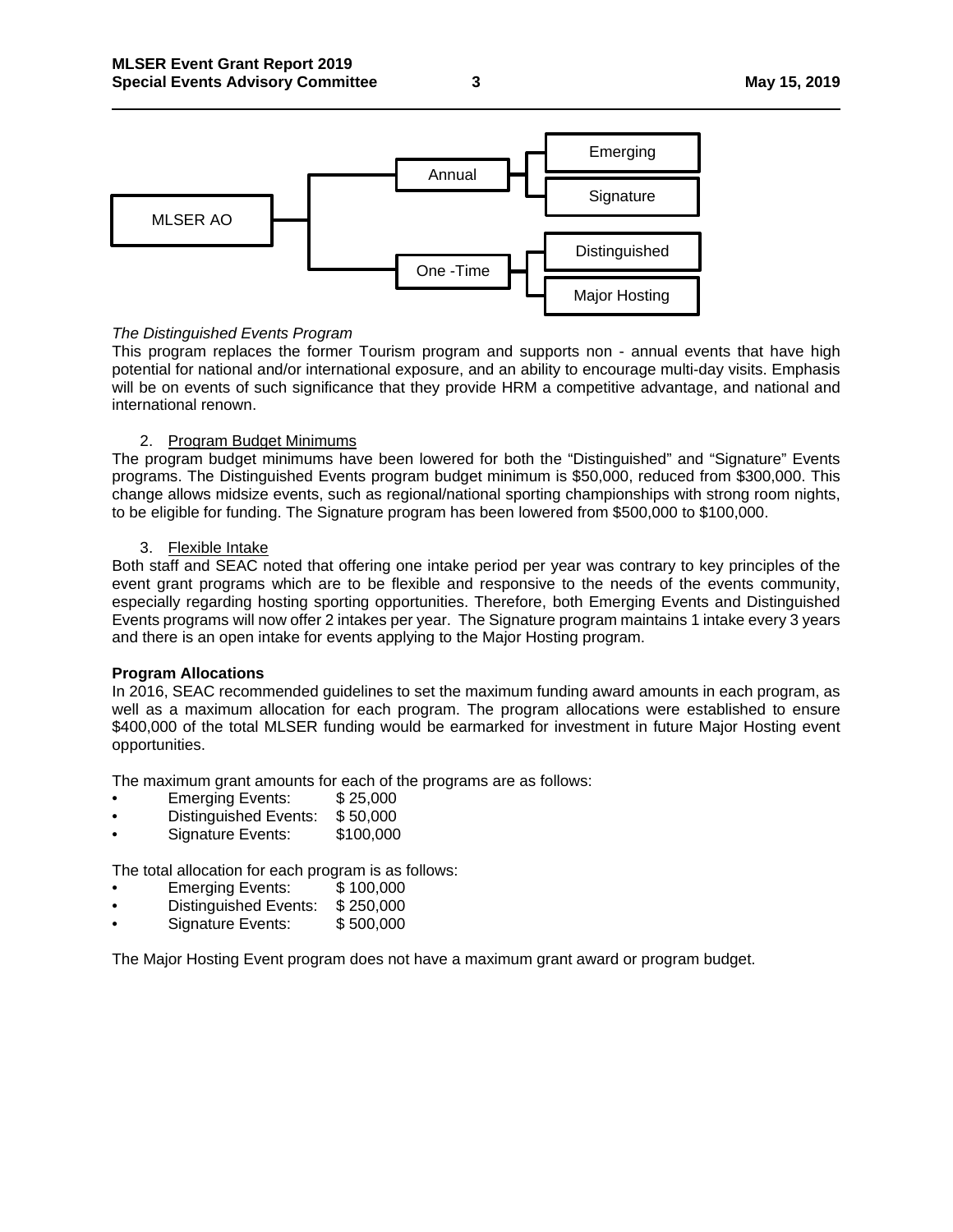

### *The Distinguished Events Program*

This program replaces the former Tourism program and supports non - annual events that have high potential for national and/or international exposure, and an ability to encourage multi-day visits. Emphasis will be on events of such significance that they provide HRM a competitive advantage, and national and international renown.

### 2. Program Budget Minimums

The program budget minimums have been lowered for both the "Distinguished" and "Signature" Events programs. The Distinguished Events program budget minimum is \$50,000, reduced from \$300,000. This change allows midsize events, such as regional/national sporting championships with strong room nights, to be eligible for funding. The Signature program has been lowered from \$500,000 to \$100,000.

### 3. Flexible Intake

Both staff and SEAC noted that offering one intake period per year was contrary to key principles of the event grant programs which are to be flexible and responsive to the needs of the events community, especially regarding hosting sporting opportunities. Therefore, both Emerging Events and Distinguished Events programs will now offer 2 intakes per year. The Signature program maintains 1 intake every 3 years and there is an open intake for events applying to the Major Hosting program.

### **Program Allocations**

In 2016, SEAC recommended guidelines to set the maximum funding award amounts in each program, as well as a maximum allocation for each program. The program allocations were established to ensure \$400,000 of the total MLSER funding would be earmarked for investment in future Major Hosting event opportunities.

The maximum grant amounts for each of the programs are as follows:<br>• Emerging Events: \$25,000

- **Emerging Events:**
- Distinguished Events: \$ 50,000
- Signature Events: \$100,000

The total allocation for each program is as follows:

- Emerging Events: \$ 100,000
- Distinguished Events: \$ 250,000
- Signature Events: \$ 500,000

The Major Hosting Event program does not have a maximum grant award or program budget.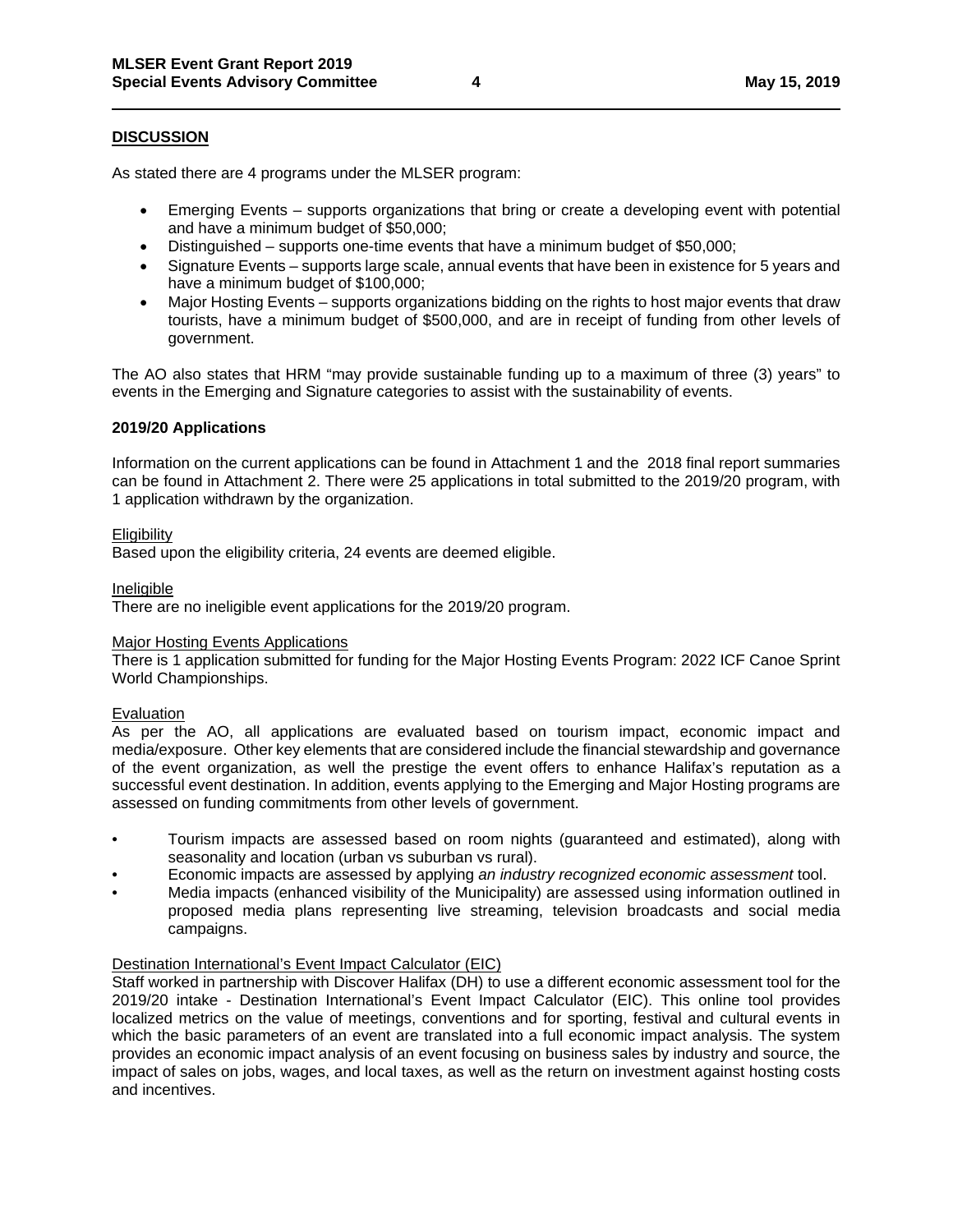### **DISCUSSION**

As stated there are 4 programs under the MLSER program:

- Emerging Events supports organizations that bring or create a developing event with potential and have a minimum budget of \$50,000;
- Distinguished supports one-time events that have a minimum budget of \$50,000;
- Signature Events supports large scale, annual events that have been in existence for 5 years and have a minimum budget of \$100,000;
- Major Hosting Events supports organizations bidding on the rights to host major events that draw tourists, have a minimum budget of \$500,000, and are in receipt of funding from other levels of government.

The AO also states that HRM "may provide sustainable funding up to a maximum of three (3) years" to events in the Emerging and Signature categories to assist with the sustainability of events.

### **2019/20 Applications**

Information on the current applications can be found in Attachment 1 and the 2018 final report summaries can be found in Attachment 2. There were 25 applications in total submitted to the 2019/20 program, with 1 application withdrawn by the organization.

### **Eligibility**

Based upon the eligibility criteria, 24 events are deemed eligible.

### Ineligible

There are no ineligible event applications for the 2019/20 program.

### Major Hosting Events Applications

There is 1 application submitted for funding for the Major Hosting Events Program: 2022 ICF Canoe Sprint World Championships.

### Evaluation

As per the AO, all applications are evaluated based on tourism impact, economic impact and media/exposure. Other key elements that are considered include the financial stewardship and governance of the event organization, as well the prestige the event offers to enhance Halifax's reputation as a successful event destination. In addition, events applying to the Emerging and Major Hosting programs are assessed on funding commitments from other levels of government.

- Tourism impacts are assessed based on room nights (guaranteed and estimated), along with seasonality and location (urban vs suburban vs rural).
- Economic impacts are assessed by applying *an industry recognized economic assessment* tool.
- Media impacts (enhanced visibility of the Municipality) are assessed using information outlined in proposed media plans representing live streaming, television broadcasts and social media campaigns.

### Destination International's Event Impact Calculator (EIC)

Staff worked in partnership with Discover Halifax (DH) to use a different economic assessment tool for the 2019/20 intake - Destination International's Event Impact Calculator (EIC). This online tool provides localized metrics on the value of meetings, conventions and for sporting, festival and cultural events in which the basic parameters of an event are translated into a full economic impact analysis. The system provides an economic impact analysis of an event focusing on business sales by industry and source, the impact of sales on jobs, wages, and local taxes, as well as the return on investment against hosting costs and incentives.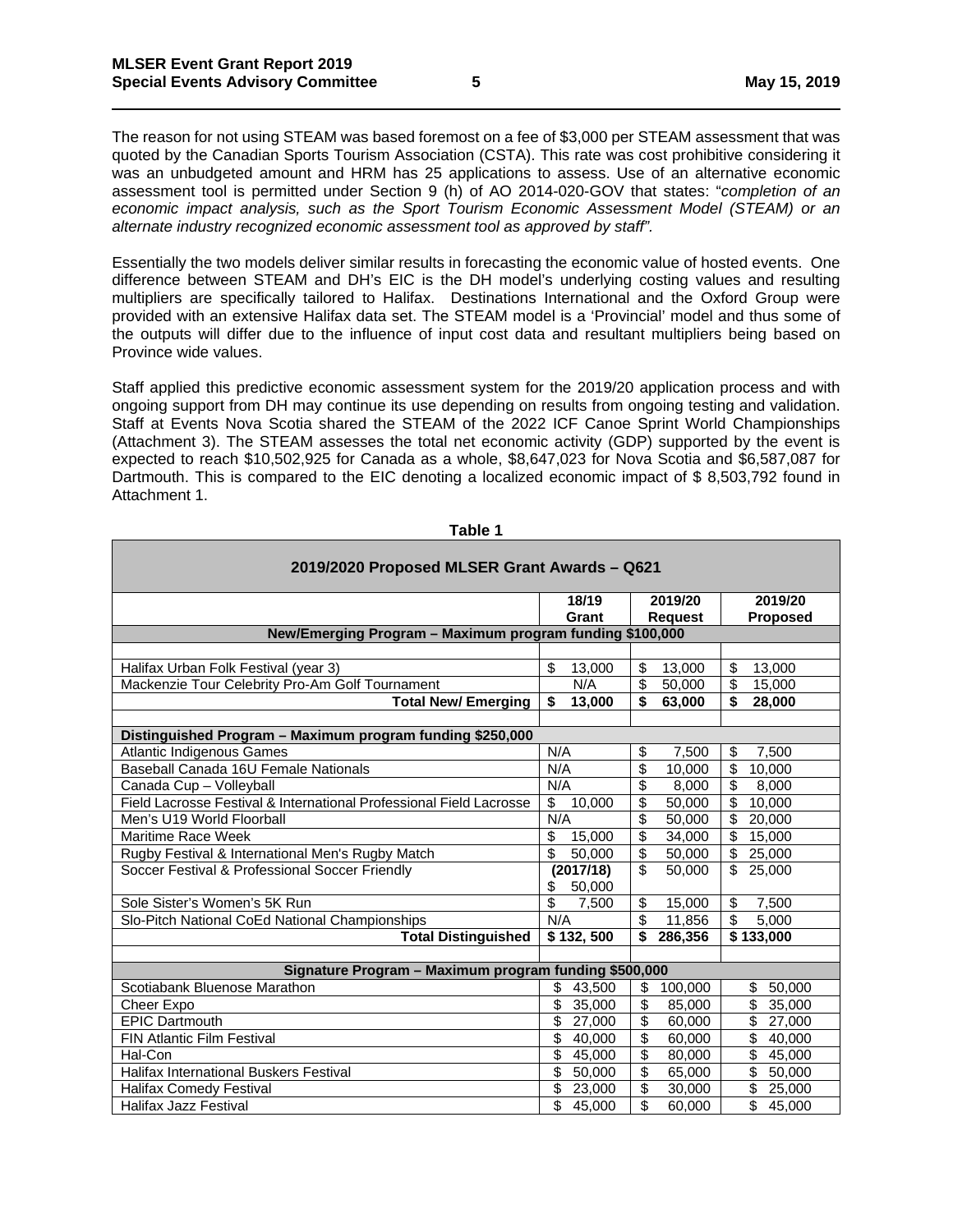The reason for not using STEAM was based foremost on a fee of \$3,000 per STEAM assessment that was quoted by the Canadian Sports Tourism Association (CSTA). This rate was cost prohibitive considering it was an unbudgeted amount and HRM has 25 applications to assess. Use of an alternative economic assessment tool is permitted under Section 9 (h) of AO 2014-020-GOV that states: "*completion of an economic impact analysis, such as the Sport Tourism Economic Assessment Model (STEAM) or an alternate industry recognized economic assessment tool as approved by staff".*

Essentially the two models deliver similar results in forecasting the economic value of hosted events. One difference between STEAM and DH's EIC is the DH model's underlying costing values and resulting multipliers are specifically tailored to Halifax. Destinations International and the Oxford Group were provided with an extensive Halifax data set. The STEAM model is a 'Provincial' model and thus some of the outputs will differ due to the influence of input cost data and resultant multipliers being based on Province wide values.

Staff applied this predictive economic assessment system for the 2019/20 application process and with ongoing support from DH may continue its use depending on results from ongoing testing and validation. Staff at Events Nova Scotia shared the STEAM of the 2022 ICF Canoe Sprint World Championships (Attachment 3). The STEAM assesses the total net economic activity (GDP) supported by the event is expected to reach \$10,502,925 for Canada as a whole, \$8,647,023 for Nova Scotia and \$6,587,087 for Dartmouth. This is compared to the EIC denoting a localized economic impact of \$8,503,792 found in Attachment 1.

| 2019/2020 Proposed MLSER Grant Awards - Q621                        |                                    |                                   |                                   |  |  |
|---------------------------------------------------------------------|------------------------------------|-----------------------------------|-----------------------------------|--|--|
|                                                                     | 18/19                              | 2019/20                           | 2019/20                           |  |  |
|                                                                     | Grant                              | <b>Request</b>                    | <b>Proposed</b>                   |  |  |
| New/Emerging Program - Maximum program funding \$100,000            |                                    |                                   |                                   |  |  |
|                                                                     |                                    |                                   |                                   |  |  |
| Halifax Urban Folk Festival (year 3)                                | \$<br>13,000                       | 13,000<br>\$                      | \$<br>13.000                      |  |  |
| Mackenzie Tour Celebrity Pro-Am Golf Tournament                     | N/A                                | \$<br>50,000                      | \$<br>15,000                      |  |  |
| <b>Total New/Emerging</b>                                           | \$<br>13,000                       | \$<br>63,000                      | \$<br>28,000                      |  |  |
|                                                                     |                                    |                                   |                                   |  |  |
| Distinguished Program - Maximum program funding \$250,000           |                                    |                                   |                                   |  |  |
| <b>Atlantic Indigenous Games</b>                                    | N/A                                | \$<br>7.500                       | \$<br>7.500                       |  |  |
| Baseball Canada 16U Female Nationals                                | N/A                                | \$<br>10,000                      | $\overline{\mathbf{s}}$<br>10,000 |  |  |
| Canada Cup - Volleyball                                             | N/A                                | \$<br>8,000                       | \$<br>8,000                       |  |  |
| Field Lacrosse Festival & International Professional Field Lacrosse | \$<br>10,000                       | \$<br>50,000                      | $\overline{\mathbf{s}}$<br>10,000 |  |  |
| Men's U19 World Floorball                                           | N/A                                | \$<br>50,000                      | \$<br>20,000                      |  |  |
| Maritime Race Week                                                  | $\overline{\mathcal{S}}$<br>15,000 | \$<br>34,000                      | \$<br>15,000                      |  |  |
| Rugby Festival & International Men's Rugby Match                    | $\overline{\mathcal{S}}$<br>50,000 | \$<br>50,000                      | $\mathbb{S}$<br>25,000            |  |  |
| Soccer Festival & Professional Soccer Friendly                      | (2017/18)<br>\$<br>50,000          | \$<br>50,000                      | \$25.000                          |  |  |
| Sole Sister's Women's 5K Run                                        | $\overline{\mathbb{S}}$<br>7.500   | \$<br>15,000                      | \$<br>7.500                       |  |  |
| Slo-Pitch National CoEd National Championships                      | N/A                                | \$<br>11,856                      | $\overline{\$}$<br>5,000          |  |  |
| <b>Total Distinguished</b>                                          | \$132,500                          | \$<br>286,356                     | \$133,000                         |  |  |
|                                                                     |                                    |                                   |                                   |  |  |
| Signature Program - Maximum program funding \$500,000               |                                    |                                   |                                   |  |  |
| Scotiabank Bluenose Marathon                                        | \$<br>43,500                       | 100,000<br>\$                     | 50,000<br>\$                      |  |  |
| <b>Cheer Expo</b>                                                   | \$<br>35,000                       | \$<br>85,000                      | 35.000                            |  |  |
| <b>EPIC Dartmouth</b>                                               | \$<br>27,000                       | $\overline{\mathbf{e}}$<br>60,000 | \$<br>27,000                      |  |  |
| <b>FIN Atlantic Film Festival</b>                                   | \$<br>40,000                       | $\overline{\mathbf{e}}$<br>60,000 | $\overline{\mathbb{S}}$<br>40,000 |  |  |
| Hal-Con                                                             | \$<br>45,000                       | $\overline{\$}$<br>80,000         | \$<br>45,000                      |  |  |
| <b>Halifax International Buskers Festival</b>                       | \$<br>50,000                       | $\overline{\$}$<br>65,000         | $\overline{\mathbb{S}}$<br>50,000 |  |  |
| <b>Halifax Comedy Festival</b>                                      | \$<br>23,000                       | $\overline{\$}$<br>30,000         | $\overline{\mathbb{S}}$<br>25,000 |  |  |
| <b>Halifax Jazz Festival</b>                                        | \$<br>45,000                       | \$<br>60,000                      | \$<br>45,000                      |  |  |

**Table 1**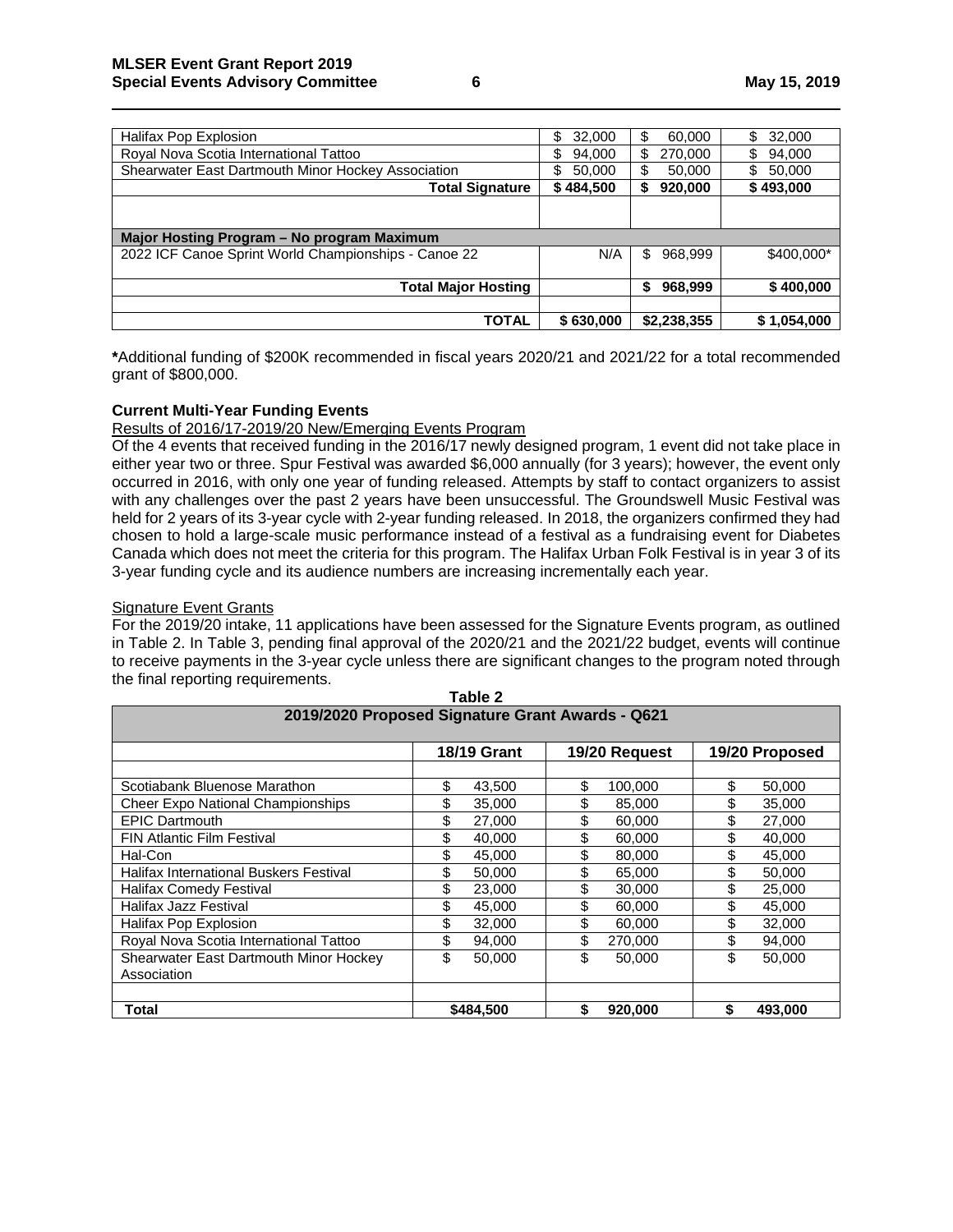| Halifax Pop Explosion                                | 32,000<br>\$ | \$<br>60,000   | 32,000<br>\$ |
|------------------------------------------------------|--------------|----------------|--------------|
| Royal Nova Scotia International Tattoo               | \$<br>94,000 | \$<br>270,000  | \$<br>94,000 |
| Shearwater East Dartmouth Minor Hockey Association   | 50,000<br>S  | \$<br>50.000   | \$<br>50,000 |
| <b>Total Signature</b>                               | \$484,500    | 920,000<br>\$  | \$493,000    |
|                                                      |              |                |              |
|                                                      |              |                |              |
| Major Hosting Program - No program Maximum           |              |                |              |
| 2022 ICF Canoe Sprint World Championships - Canoe 22 | N/A          | 968,999<br>\$. | \$400,000*   |
|                                                      |              |                |              |
| <b>Total Major Hosting</b>                           |              | 968,999<br>S   | \$400,000    |
|                                                      |              |                |              |
| TOTAL                                                | \$630,000    | \$2,238,355    | \$1,054,000  |

**\***Additional funding of \$200K recommended in fiscal years 2020/21 and 2021/22 for a total recommended grant of \$800,000.

### **Current Multi-Year Funding Events**

### Results of 2016/17-2019/20 New/Emerging Events Program

Of the 4 events that received funding in the 2016/17 newly designed program, 1 event did not take place in either year two or three. Spur Festival was awarded \$6,000 annually (for 3 years); however, the event only occurred in 2016, with only one year of funding released. Attempts by staff to contact organizers to assist with any challenges over the past 2 years have been unsuccessful. The Groundswell Music Festival was held for 2 years of its 3-year cycle with 2-year funding released. In 2018, the organizers confirmed they had chosen to hold a large-scale music performance instead of a festival as a fundraising event for Diabetes Canada which does not meet the criteria for this program. The Halifax Urban Folk Festival is in year 3 of its 3-year funding cycle and its audience numbers are increasing incrementally each year.

### Signature Event Grants

For the 2019/20 intake, 11 applications have been assessed for the Signature Events program, as outlined in Table 2. In Table 3, pending final approval of the 2020/21 and the 2021/22 budget, events will continue to receive payments in the 3-year cycle unless there are significant changes to the program noted through the final reporting requirements.

| 2019/2020 Proposed Signature Grant Awards - Q621 |                    |               |                |  |  |
|--------------------------------------------------|--------------------|---------------|----------------|--|--|
|                                                  | <b>18/19 Grant</b> | 19/20 Request | 19/20 Proposed |  |  |
|                                                  |                    |               |                |  |  |
| Scotiabank Bluenose Marathon                     | \$                 | \$            | \$             |  |  |
|                                                  | 43,500             | 100,000       | 50,000         |  |  |
| <b>Cheer Expo National Championships</b>         | \$                 | \$            | \$             |  |  |
|                                                  | 35,000             | 85,000        | 35,000         |  |  |
| <b>EPIC Dartmouth</b>                            | \$                 | \$            | \$             |  |  |
|                                                  | 27,000             | 60,000        | 27,000         |  |  |
| <b>FIN Atlantic Film Festival</b>                | \$                 | \$            | \$             |  |  |
|                                                  | 40,000             | 60,000        | 40,000         |  |  |
| Hal-Con                                          | \$                 | \$            | \$             |  |  |
|                                                  | 45,000             | 80,000        | 45,000         |  |  |
| <b>Halifax International Buskers Festival</b>    | \$                 | \$            | \$             |  |  |
|                                                  | 50,000             | 65,000        | 50,000         |  |  |
| Halifax Comedy Festival                          | \$                 | \$            | \$             |  |  |
|                                                  | 23,000             | 30,000        | 25,000         |  |  |
| <b>Halifax Jazz Festival</b>                     | \$                 | \$            | \$             |  |  |
|                                                  | 45.000             | 60,000        | 45,000         |  |  |
| Halifax Pop Explosion                            | \$                 | \$            | \$             |  |  |
|                                                  | 32,000             | 60,000        | 32,000         |  |  |
| Royal Nova Scotia International Tattoo           | \$                 | \$            | \$             |  |  |
|                                                  | 94,000             | 270,000       | 94,000         |  |  |
| Shearwater East Dartmouth Minor Hockey           | \$                 | \$            | \$             |  |  |
|                                                  | 50.000             | 50,000        | 50,000         |  |  |
| Association                                      |                    |               |                |  |  |
|                                                  |                    |               |                |  |  |
| Total                                            | \$484.500          | \$<br>920,000 | \$<br>493,000  |  |  |

| . |                                              |
|---|----------------------------------------------|
|   | Table 2                                      |
|   | 19/2020 Proposed Signature Grant Awards - Q6 |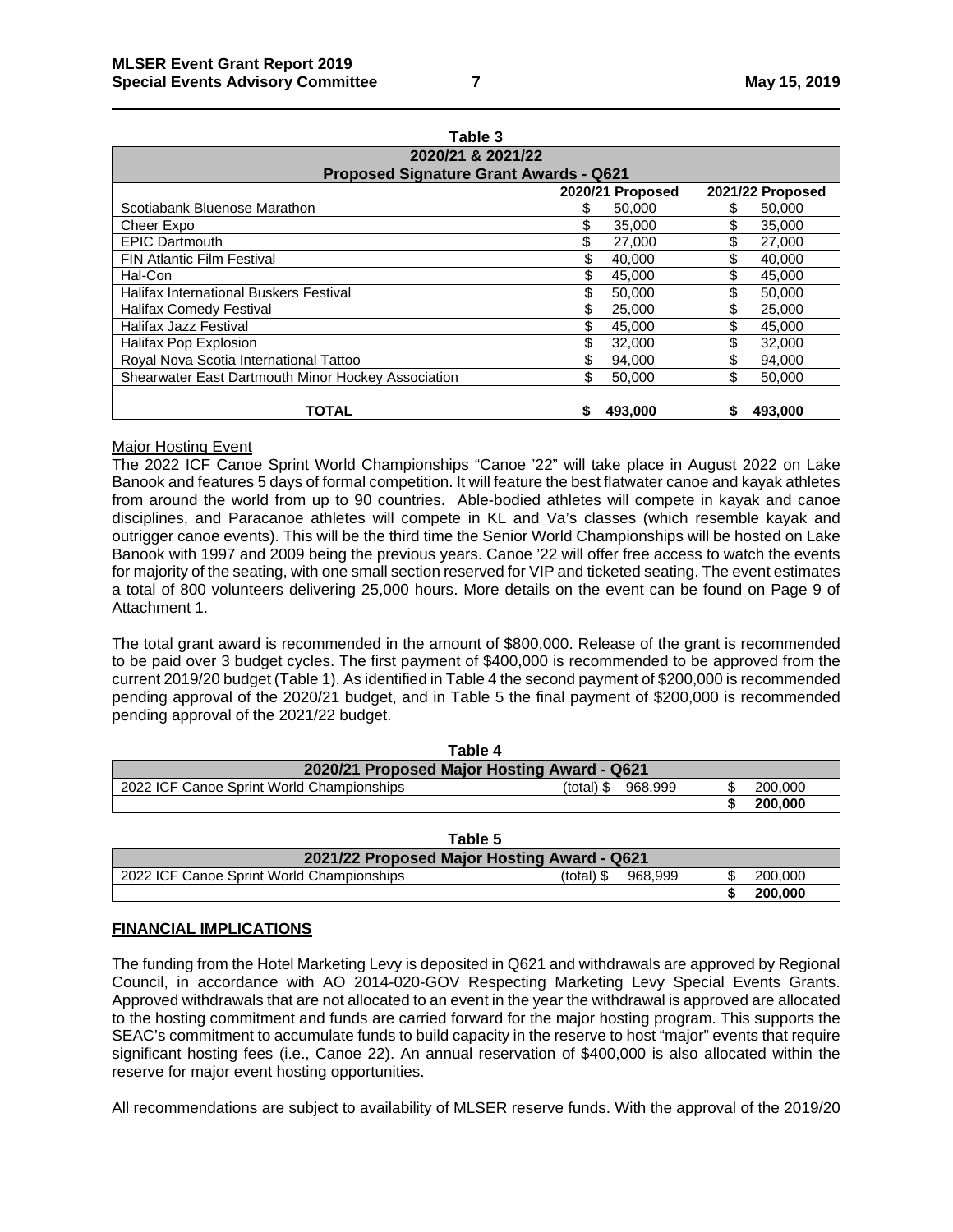| Table 3                                            |                  |                  |  |  |  |
|----------------------------------------------------|------------------|------------------|--|--|--|
| 2020/21 & 2021/22                                  |                  |                  |  |  |  |
| <b>Proposed Signature Grant Awards - Q621</b>      |                  |                  |  |  |  |
|                                                    | 2020/21 Proposed | 2021/22 Proposed |  |  |  |
| Scotiabank Bluenose Marathon                       | \$<br>50,000     | 50,000           |  |  |  |
| Cheer Expo                                         | \$<br>35,000     | \$<br>35,000     |  |  |  |
| <b>EPIC Dartmouth</b>                              | \$<br>27,000     | \$<br>27,000     |  |  |  |
| <b>FIN Atlantic Film Festival</b>                  | \$<br>40,000     | \$<br>40.000     |  |  |  |
| Hal-Con                                            | 45,000           | \$<br>45,000     |  |  |  |
| Halifax International Buskers Festival             | 50.000           | \$<br>50,000     |  |  |  |
| <b>Halifax Comedy Festival</b>                     | \$<br>25,000     | \$<br>25,000     |  |  |  |
| <b>Halifax Jazz Festival</b>                       | \$<br>45.000     | \$<br>45,000     |  |  |  |
| Halifax Pop Explosion                              | \$<br>32,000     | \$<br>32,000     |  |  |  |
| Royal Nova Scotia International Tattoo             | \$.<br>94.000    | \$<br>94.000     |  |  |  |
| Shearwater East Dartmouth Minor Hockey Association | \$<br>50.000     | \$<br>50,000     |  |  |  |
| <b>TOTAL</b>                                       | \$<br>493.000    | 493.000          |  |  |  |

### Major Hosting Event

The 2022 ICF Canoe Sprint World Championships "Canoe '22" will take place in August 2022 on Lake Banook and features 5 days of formal competition. It will feature the best flatwater canoe and kayak athletes from around the world from up to 90 countries. Able-bodied athletes will compete in kayak and canoe disciplines, and Paracanoe athletes will compete in KL and Va's classes (which resemble kayak and outrigger canoe events). This will be the third time the Senior World Championships will be hosted on Lake Banook with 1997 and 2009 being the previous years. Canoe '22 will offer free access to watch the events for majority of the seating, with one small section reserved for VIP and ticketed seating. The event estimates a total of 800 volunteers delivering 25,000 hours. More details on the event can be found on Page 9 of Attachment 1.

The total grant award is recommended in the amount of \$800,000. Release of the grant is recommended to be paid over 3 budget cycles. The first payment of \$400,000 is recommended to be approved from the current 2019/20 budget (Table 1). As identified in Table 4 the second payment of \$200,000 is recommended pending approval of the 2020/21 budget, and in Table 5 the final payment of \$200,000 is recommended pending approval of the 2021/22 budget.

| Table 4                                     |                         |         |  |  |
|---------------------------------------------|-------------------------|---------|--|--|
| 2020/21 Proposed Major Hosting Award - Q621 |                         |         |  |  |
| 2022 ICF Canoe Sprint World Championships   | $(total)$ \$<br>968.999 | 200,000 |  |  |
|                                             |                         | 200,000 |  |  |

| Table 5                                     |                         |         |
|---------------------------------------------|-------------------------|---------|
| 2021/22 Proposed Major Hosting Award - Q621 |                         |         |
| 2022 ICF Canoe Sprint World Championships   | $(total)$ \$<br>968.999 | 200,000 |
|                                             |                         | 200,000 |

### **FINANCIAL IMPLICATIONS**

The funding from the Hotel Marketing Levy is deposited in Q621 and withdrawals are approved by Regional Council, in accordance with AO 2014-020-GOV Respecting Marketing Levy Special Events Grants. Approved withdrawals that are not allocated to an event in the year the withdrawal is approved are allocated to the hosting commitment and funds are carried forward for the major hosting program. This supports the SEAC's commitment to accumulate funds to build capacity in the reserve to host "major" events that require significant hosting fees (i.e., Canoe 22). An annual reservation of \$400,000 is also allocated within the reserve for major event hosting opportunities.

All recommendations are subject to availability of MLSER reserve funds. With the approval of the 2019/20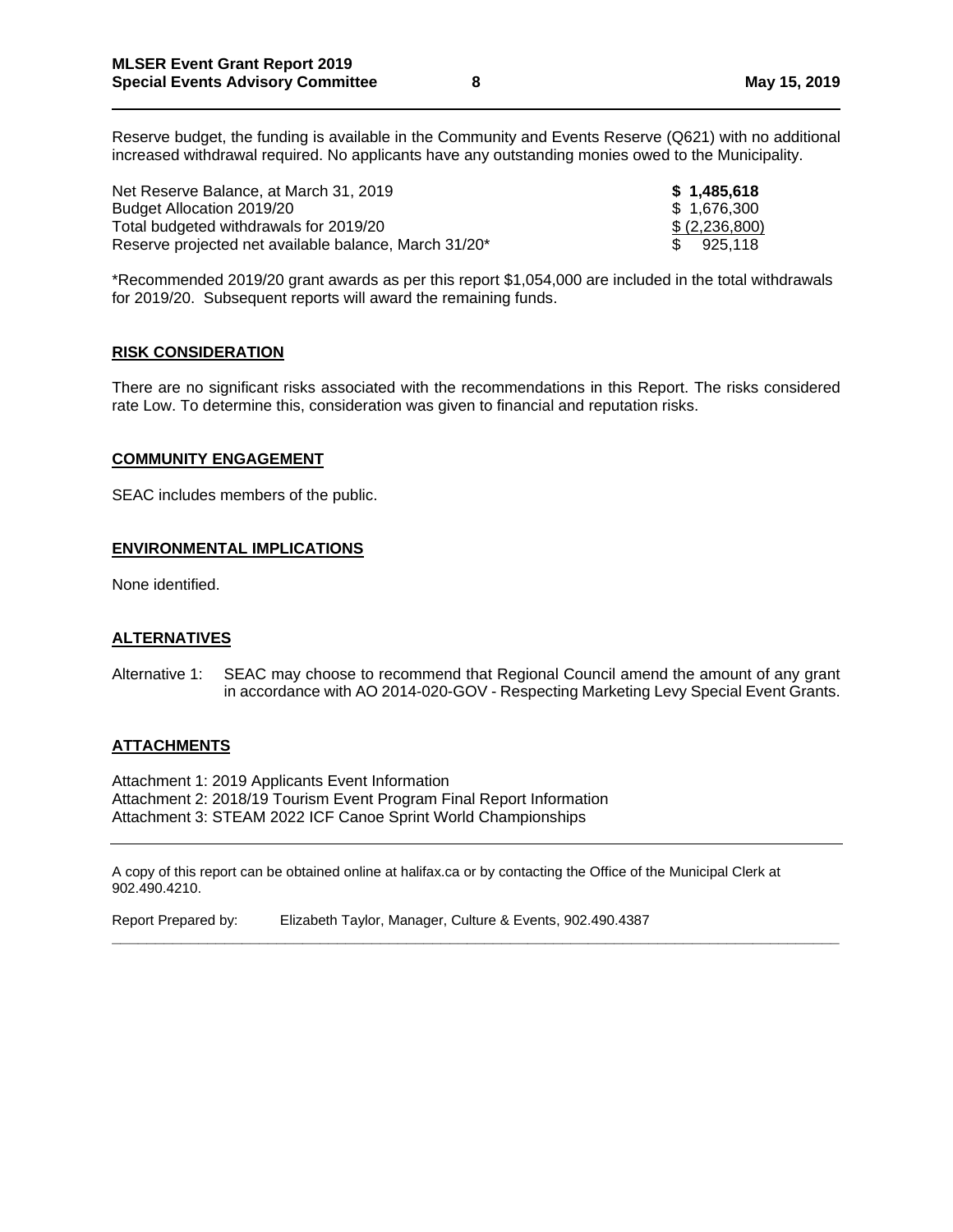Reserve budget, the funding is available in the Community and Events Reserve (Q621) with no additional increased withdrawal required. No applicants have any outstanding monies owed to the Municipality.

Net Reserve Balance, at March 31, 2019 **\$ 1,485,618** Budget Allocation 2019/20 **budget Allocation 2019/20 budget** Allocation 2019/20 Total budgeted withdrawals for  $2019/20$   $\qquad \qquad$   $\qquad \qquad$   $\qquad \qquad$   $\qquad \qquad$   $\qquad \qquad$   $\qquad \qquad$   $\qquad \qquad$   $\qquad \qquad$   $\qquad \qquad$   $\qquad \qquad$   $\qquad \qquad$   $\qquad \qquad$   $\qquad \qquad$   $\qquad \qquad$   $\qquad \qquad$   $\qquad \qquad$   $\qquad \qquad$   $\qquad \qquad$   $\qquad \qquad$   $\qquad \qquad$  Reserve projected net available balance, March 31/20\*  $$925,118$ 

\*Recommended 2019/20 grant awards as per this report \$1,054,000 are included in the total withdrawals for 2019/20. Subsequent reports will award the remaining funds.

### **RISK CONSIDERATION**

There are no significant risks associated with the recommendations in this Report. The risks considered rate Low. To determine this, consideration was given to financial and reputation risks.

### **COMMUNITY ENGAGEMENT**

SEAC includes members of the public.

### **ENVIRONMENTAL IMPLICATIONS**

None identified.

### **ALTERNATIVES**

Alternative 1: SEAC may choose to recommend that Regional Council amend the amount of any grant in accordance with AO 2014-020-GOV - Respecting Marketing Levy Special Event Grants.

### **ATTACHMENTS**

Attachment 1: 2019 Applicants Event Information Attachment 2: 2018/19 Tourism Event Program Final Report Information Attachment 3: STEAM 2022 ICF Canoe Sprint World Championships

A copy of this report can be obtained online at halifax.ca or by contacting the Office of the Municipal Clerk at 902.490.4210.

**\_\_\_\_\_\_\_\_\_\_\_\_\_\_\_\_\_\_\_\_\_\_\_\_\_\_\_\_\_\_\_\_\_\_\_\_\_\_\_\_\_\_\_\_\_\_\_\_\_\_\_\_\_\_\_\_\_\_\_\_\_\_\_\_\_\_\_\_\_\_\_\_\_\_\_\_\_\_\_\_\_\_\_\_**

Report Prepared by: Elizabeth Taylor, Manager, Culture & Events, 902.490.4387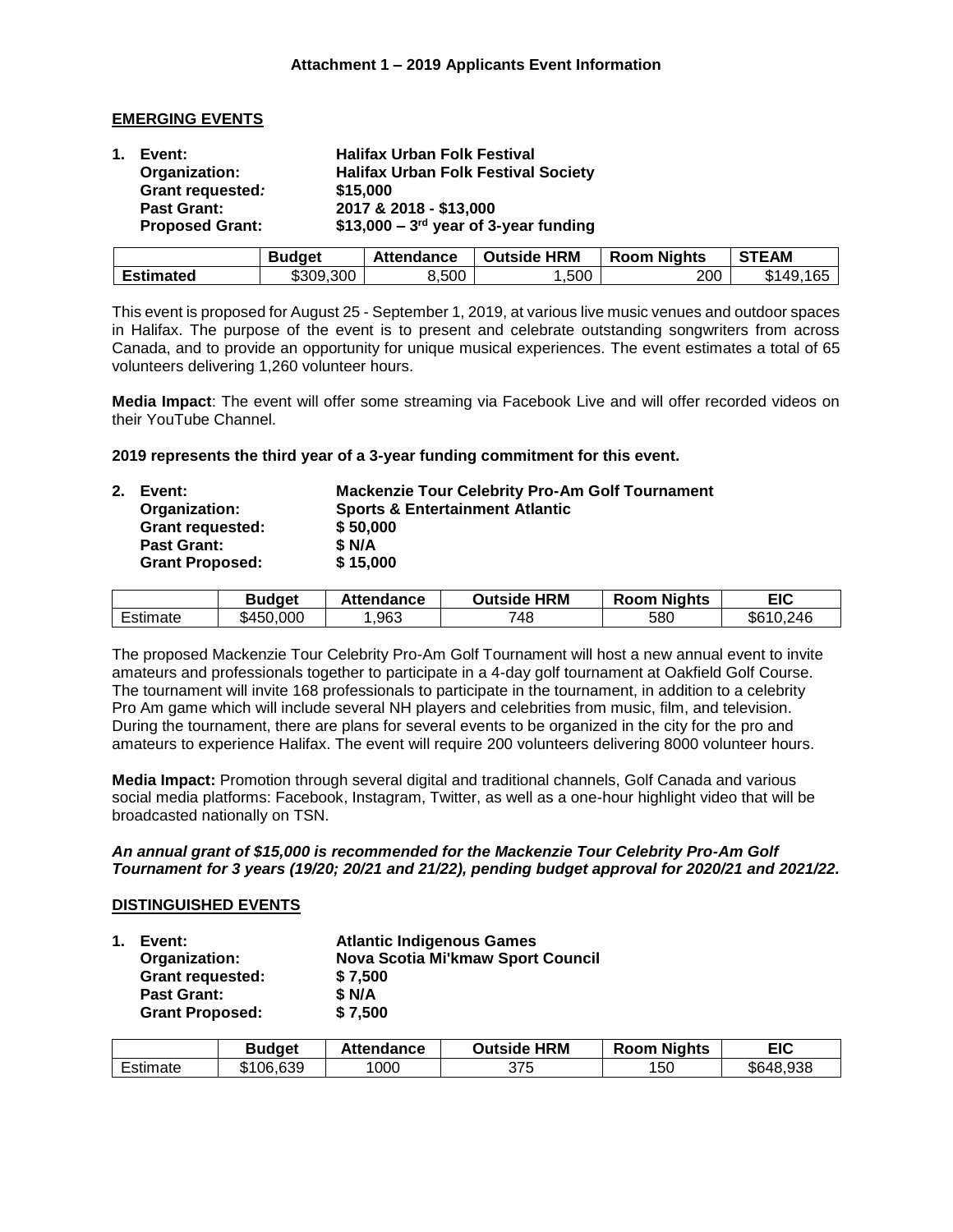### **EMERGING EVENTS**

| 1. Event:              | <b>Halifax Urban Folk Festival</b>         |
|------------------------|--------------------------------------------|
| Organization:          | <b>Halifax Urban Folk Festival Society</b> |
| Grant requested:       | \$15,000                                   |
| <b>Past Grant:</b>     | 2017 & 2018 - \$13,000                     |
| <b>Proposed Grant:</b> | $$13,000 - 3rd$ year of 3-year funding     |

|                  | <b>Budget</b> | Attendance | <b>Outside HRM</b> | <b>Room Nights</b> | <b>STEAM</b> |
|------------------|---------------|------------|--------------------|--------------------|--------------|
| <b>Estimated</b> | \$309,300     | 8,500      | ,500               | 200                | \$149.165    |

This event is proposed for August 25 - September 1, 2019, at various live music venues and outdoor spaces in Halifax. The purpose of the event is to present and celebrate outstanding songwriters from across Canada, and to provide an opportunity for unique musical experiences. The event estimates a total of 65 volunteers delivering 1,260 volunteer hours.

**Media Impact**: The event will offer some streaming via Facebook Live and will offer recorded videos on their YouTube Channel.

**2019 represents the third year of a 3-year funding commitment for this event.**

| 2. | Event:                  | <b>Mackenzie Tour Celebrity Pro-Am Golf Tournament</b> |
|----|-------------------------|--------------------------------------------------------|
|    | Organization:           | <b>Sports &amp; Entertainment Atlantic</b>             |
|    | <b>Grant requested:</b> | \$50,000                                               |
|    | <b>Past Grant:</b>      | \$N/A                                                  |
|    | <b>Grant Proposed:</b>  | \$15,000                                               |
|    |                         |                                                        |

|                                      | <b>Budget</b> | <b>Attendance</b> | HRM<br>Outside⊹ | <b>Nights</b><br><b>Room</b> | EIC         |
|--------------------------------------|---------------|-------------------|-----------------|------------------------------|-------------|
| $\overline{\phantom{0}}$<br>⊂stimate | .000<br>450ه  | ,963              | 748             | 580                          | .246<br>\$6 |

The proposed Mackenzie Tour Celebrity Pro-Am Golf Tournament will host a new annual event to invite amateurs and professionals together to participate in a 4-day golf tournament at Oakfield Golf Course. The tournament will invite 168 professionals to participate in the tournament, in addition to a celebrity Pro Am game which will include several NH players and celebrities from music, film, and television. During the tournament, there are plans for several events to be organized in the city for the pro and amateurs to experience Halifax. The event will require 200 volunteers delivering 8000 volunteer hours.

**Media Impact:** Promotion through several digital and traditional channels, Golf Canada and various social media platforms: Facebook, Instagram, Twitter, as well as a one-hour highlight video that will be broadcasted nationally on TSN.

### *An annual grant of \$15,000 is recommended for the Mackenzie Tour Celebrity Pro-Am Golf Tournament for 3 years (19/20; 20/21 and 21/22), pending budget approval for 2020/21 and 2021/22.*

### **DISTINGUISHED EVENTS**

|  | 1. Event:               | <b>Atlantic Indigenous Games</b>         |
|--|-------------------------|------------------------------------------|
|  | Organization:           | <b>Nova Scotia Mi'kmaw Sport Council</b> |
|  | <b>Grant requested:</b> | \$7.500                                  |
|  | <b>Past Grant:</b>      | \$N/A                                    |
|  | <b>Grant Proposed:</b>  | \$7,500                                  |

|          | <b>Budget</b> | Attendance | <b>Outside HRM</b> | <b>Room Nights</b> | EIC       |
|----------|---------------|------------|--------------------|--------------------|-----------|
| Estimate | \$106.639     | 1000       | 375                | 150                | \$648.938 |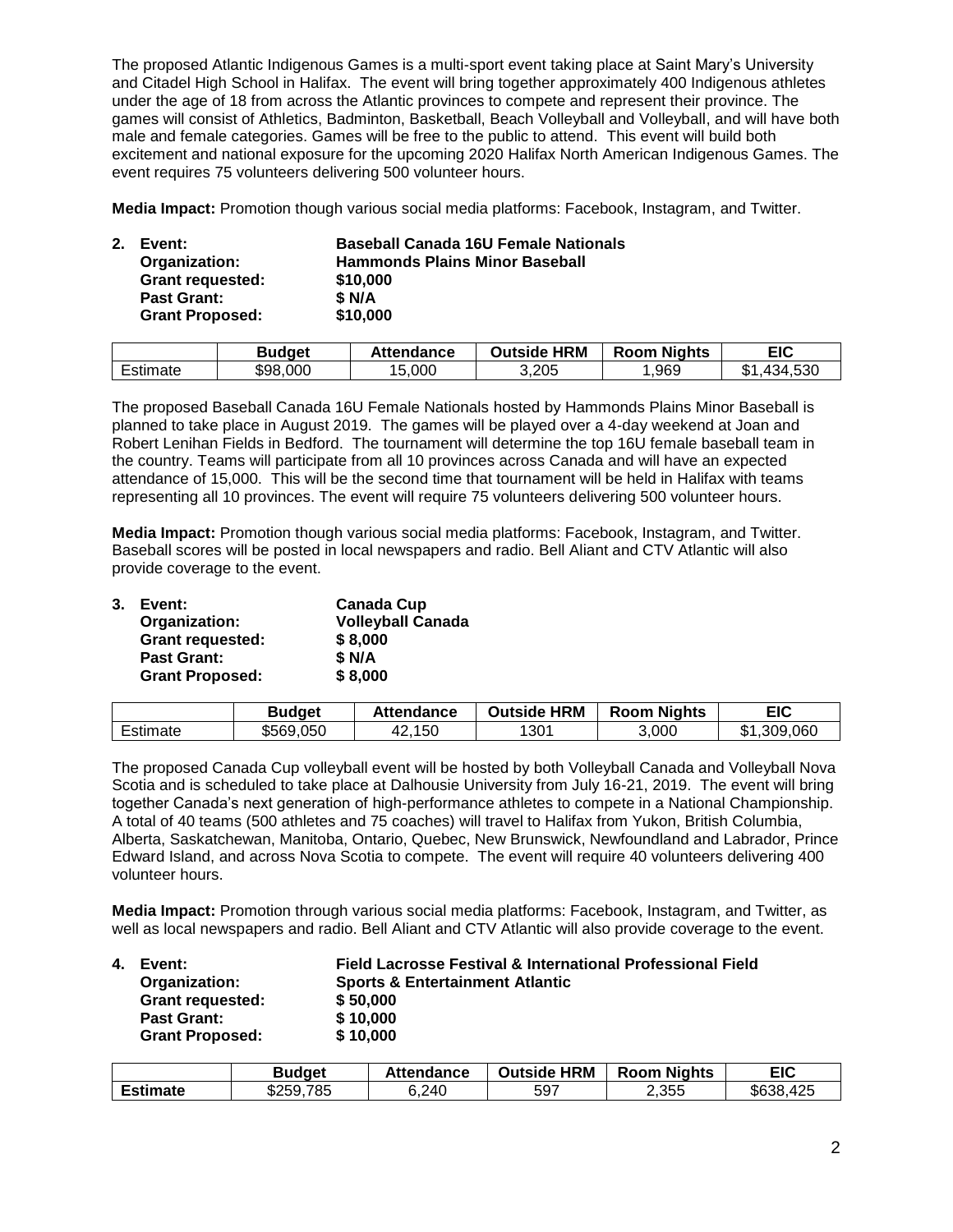The proposed Atlantic Indigenous Games is a multi-sport event taking place at Saint Mary's University and Citadel High School in Halifax. The event will bring together approximately 400 Indigenous athletes under the age of 18 from across the Atlantic provinces to compete and represent their province. The games will consist of Athletics, Badminton, Basketball, Beach Volleyball and Volleyball, and will have both male and female categories. Games will be free to the public to attend. This event will build both excitement and national exposure for the upcoming 2020 Halifax North American Indigenous Games. The event requires 75 volunteers delivering 500 volunteer hours.

**Media Impact:** Promotion though various social media platforms: Facebook, Instagram, and Twitter.

| 2. | Event:<br>Organization: | <b>Baseball Canada 16U Female Nationals</b><br><b>Hammonds Plains Minor Baseball</b> |
|----|-------------------------|--------------------------------------------------------------------------------------|
|    | <b>Grant requested:</b> | \$10,000                                                                             |
|    | <b>Past Grant:</b>      | \$ N/A                                                                               |
|    | <b>Grant Proposed:</b>  | \$10,000                                                                             |
|    |                         |                                                                                      |

|               | <b>Budget</b> | Attendance | <b>HRM</b><br>Outside | <b>Room Nights</b> | EIC                     |
|---------------|---------------|------------|-----------------------|--------------------|-------------------------|
| -<br>Estimate | \$98,000      | 15,000     | 3,205                 | .969               | .530<br>434.<br>ጡ<br>۰D |

The proposed Baseball Canada 16U Female Nationals hosted by Hammonds Plains Minor Baseball is planned to take place in August 2019. The games will be played over a 4-day weekend at Joan and Robert Lenihan Fields in Bedford. The tournament will determine the top 16U female baseball team in the country. Teams will participate from all 10 provinces across Canada and will have an expected attendance of 15,000. This will be the second time that tournament will be held in Halifax with teams representing all 10 provinces. The event will require 75 volunteers delivering 500 volunteer hours.

**Media Impact:** Promotion though various social media platforms: Facebook, Instagram, and Twitter. Baseball scores will be posted in local newspapers and radio. Bell Aliant and CTV Atlantic will also provide coverage to the event.

| 3. Event:               | <b>Canada Cup</b>        |
|-------------------------|--------------------------|
| Organization:           | <b>Volleyball Canada</b> |
| <b>Grant requested:</b> | \$8,000                  |
| <b>Past Grant:</b>      | \$ N/A                   |
| <b>Grant Proposed:</b>  | \$8,000                  |

|                                      | <b>Budget</b> | <b>Attendance</b> | <b>HRM</b><br>Outside | <b>Room Nights</b> | EIC                   |
|--------------------------------------|---------------|-------------------|-----------------------|--------------------|-----------------------|
| $\overline{\phantom{0}}$<br>Estimate | \$569.050     | ,150<br>TZ.       | 1301                  | 3,000              | .309.060<br>m,<br>۰D. |

The proposed Canada Cup volleyball event will be hosted by both Volleyball Canada and Volleyball Nova Scotia and is scheduled to take place at Dalhousie University from July 16-21, 2019. The event will bring together Canada's next generation of high-performance athletes to compete in a National Championship. A total of 40 teams (500 athletes and 75 coaches) will travel to Halifax from Yukon, British Columbia, Alberta, Saskatchewan, Manitoba, Ontario, Quebec, New Brunswick, Newfoundland and Labrador, Prince Edward Island, and across Nova Scotia to compete. The event will require 40 volunteers delivering 400 volunteer hours.

**Media Impact:** Promotion through various social media platforms: Facebook, Instagram, and Twitter, as well as local newspapers and radio. Bell Aliant and CTV Atlantic will also provide coverage to the event.

| 4. | Event:                  | <b>Field Lacrosse Festival &amp; International Professional Field</b> |
|----|-------------------------|-----------------------------------------------------------------------|
|    | Organization:           | <b>Sports &amp; Entertainment Atlantic</b>                            |
|    | <b>Grant requested:</b> | \$50,000                                                              |
|    | <b>Past Grant:</b>      | \$10,000                                                              |
|    | <b>Grant Proposed:</b>  | \$10,000                                                              |

|                 | Budget         | Attendance | <b>Outside HRM</b> | <b>Nights</b><br>Room | EIC           |
|-----------------|----------------|------------|--------------------|-----------------------|---------------|
| <b>Estimate</b> | .785<br>\$259, | 6.240      | 597                | 2.355                 | ,425<br>\$638 |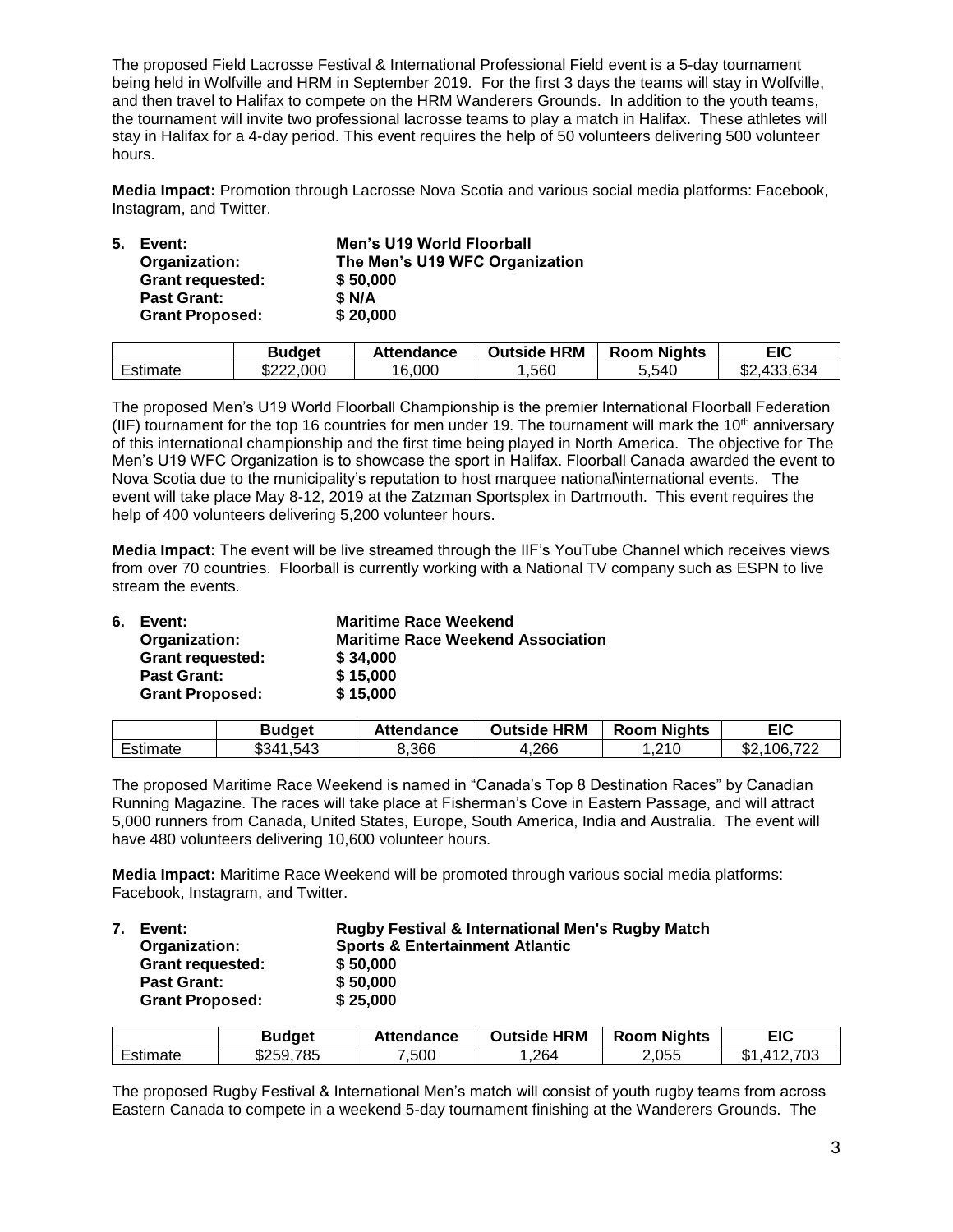The proposed Field Lacrosse Festival & International Professional Field event is a 5-day tournament being held in Wolfville and HRM in September 2019. For the first 3 days the teams will stay in Wolfville, and then travel to Halifax to compete on the HRM Wanderers Grounds. In addition to the youth teams, the tournament will invite two professional lacrosse teams to play a match in Halifax. These athletes will stay in Halifax for a 4-day period. This event requires the help of 50 volunteers delivering 500 volunteer hours.

**Media Impact:** Promotion through Lacrosse Nova Scotia and various social media platforms: Facebook, Instagram, and Twitter.

| 5. | Event:                  | Men's U19 World Floorball      |
|----|-------------------------|--------------------------------|
|    | Organization:           | The Men's U19 WFC Organization |
|    | <b>Grant requested:</b> | \$50,000                       |
|    | <b>Past Grant:</b>      | \$ N/A                         |
|    | <b>Grant Proposed:</b>  | \$20,000                       |
|    |                         |                                |

|          | Budget    | Attendance | <b>Outside HRM</b> | <b>Room Nights</b> | EIC                  |
|----------|-----------|------------|--------------------|--------------------|----------------------|
| Estimate | \$222,000 | 16.000     | ,560               | 5.540              | .433.634<br>ጦጣ<br>১∠ |

The proposed Men's U19 World Floorball Championship is the premier International Floorball Federation (IIF) tournament for the top 16 countries for men under 19. The tournament will mark the  $10<sup>th</sup>$  anniversary of this international championship and the first time being played in North America. The objective for The Men's U19 WFC Organization is to showcase the sport in Halifax. Floorball Canada awarded the event to Nova Scotia due to the municipality's reputation to host marquee national\international events. The event will take place May 8-12, 2019 at the Zatzman Sportsplex in Dartmouth. This event requires the help of 400 volunteers delivering 5,200 volunteer hours.

**Media Impact:** The event will be live streamed through the IIF's YouTube Channel which receives views from over 70 countries. Floorball is currently working with a National TV company such as ESPN to live stream the events.

| 6. | Event:                  | <b>Maritime Race Weekend</b>             |
|----|-------------------------|------------------------------------------|
|    | Organization:           | <b>Maritime Race Weekend Association</b> |
|    | <b>Grant requested:</b> | \$34,000                                 |
|    | <b>Past Grant:</b>      | \$15,000                                 |
|    | <b>Grant Proposed:</b>  | \$15,000                                 |

|               | <b>Budget</b> | Attendance | <b>HRM</b><br>Outside | <b>Room Nights</b> | EIC                   |
|---------------|---------------|------------|-----------------------|--------------------|-----------------------|
| -<br>Estimate | \$341<br>.543 | 8,366      | 1.266                 | .210               | 700<br>06<br>œ<br>JZ. |

The proposed Maritime Race Weekend is named in "Canada's Top 8 Destination Races" by Canadian Running Magazine. The races will take place at Fisherman's Cove in Eastern Passage, and will attract 5,000 runners from Canada, United States, Europe, South America, India and Australia. The event will have 480 volunteers delivering 10,600 volunteer hours.

**Media Impact:** Maritime Race Weekend will be promoted through various social media platforms: Facebook, Instagram, and Twitter.

| 7. | Event:                  | <b>Rugby Festival &amp; International Men's Rugby Match</b> |
|----|-------------------------|-------------------------------------------------------------|
|    | Organization:           | <b>Sports &amp; Entertainment Atlantic</b>                  |
|    | <b>Grant requested:</b> | \$50,000                                                    |
|    | <b>Past Grant:</b>      | \$50,000                                                    |
|    | <b>Grant Proposed:</b>  | \$25,000                                                    |
|    |                         |                                                             |

|               | Budaet       | Attendance | <b>HRM</b><br>Outside | <b>Nights</b><br>Room | <b>EIC</b>                       |
|---------------|--------------|------------|-----------------------|-----------------------|----------------------------------|
| -<br>Estimate | 785<br>\$259 | ,500       | .264                  | 2,055                 | .703<br>m /<br><u>л 1</u><br>۰D. |

The proposed Rugby Festival & International Men's match will consist of youth rugby teams from across Eastern Canada to compete in a weekend 5-day tournament finishing at the Wanderers Grounds. The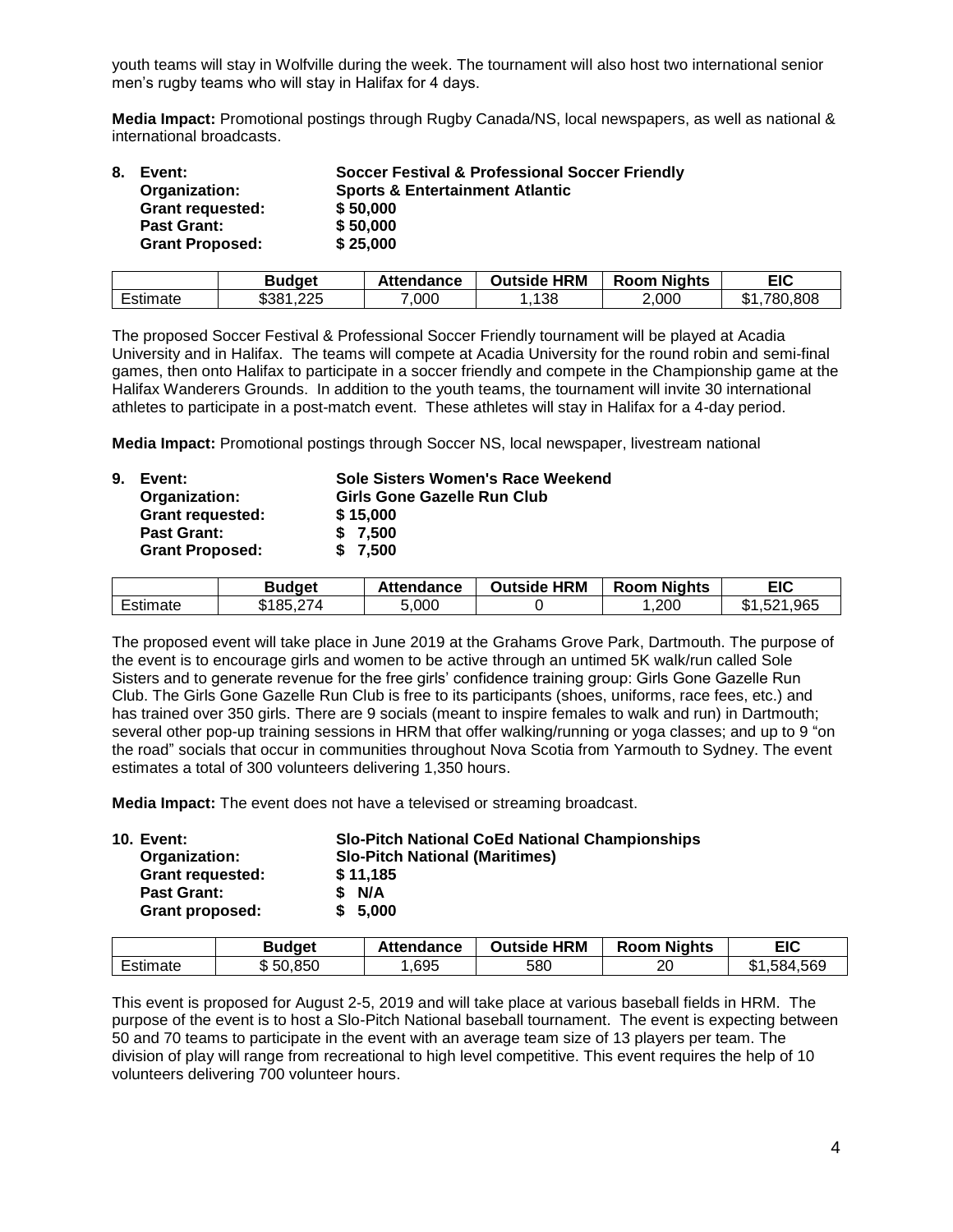youth teams will stay in Wolfville during the week. The tournament will also host two international senior men's rugby teams who will stay in Halifax for 4 days.

**Media Impact:** Promotional postings through Rugby Canada/NS, local newspapers, as well as national & international broadcasts.

| 8. | Event:                  | <b>Soccer Festival &amp; Professional Soccer Friendly</b> |
|----|-------------------------|-----------------------------------------------------------|
|    | Organization:           | <b>Sports &amp; Entertainment Atlantic</b>                |
|    | <b>Grant requested:</b> | \$50,000                                                  |
|    | <b>Past Grant:</b>      | \$50,000                                                  |
|    | <b>Grant Proposed:</b>  | \$25,000                                                  |

|          | <b>Budget</b> | <b>Attendance</b> | <b>Outside HRM</b> | <b>Room Nights</b> | EIC           |
|----------|---------------|-------------------|--------------------|--------------------|---------------|
| Estimate | ,225<br>\$381 | 7,000             | 138                | 2,000              | 780.808<br>٠D |

The proposed Soccer Festival & Professional Soccer Friendly tournament will be played at Acadia University and in Halifax. The teams will compete at Acadia University for the round robin and semi-final games, then onto Halifax to participate in a soccer friendly and compete in the Championship game at the Halifax Wanderers Grounds. In addition to the youth teams, the tournament will invite 30 international athletes to participate in a post-match event. These athletes will stay in Halifax for a 4-day period.

**Media Impact:** Promotional postings through Soccer NS, local newspaper, livestream national

| 9. | Event:                  | Sole Sisters Women's Race Weekend |
|----|-------------------------|-----------------------------------|
|    | Organization:           | Girls Gone Gazelle Run Club       |
|    | <b>Grant requested:</b> | \$15,000                          |
|    | Past Grant:             | \$7.500                           |
|    | <b>Grant Proposed:</b>  | \$7.500                           |
|    |                         |                                   |

|                                       | Budqet                | <b>Attendance</b> | <b>Outside HRM</b> | <b>Room Nights</b> | EIC         |
|---------------------------------------|-----------------------|-------------------|--------------------|--------------------|-------------|
| $\overline{\phantom{0}}$<br>่⊨stımate | $\sim$<br>. R.F<br>77 | 5,000             |                    | .200               | .965<br>۰D. |

The proposed event will take place in June 2019 at the Grahams Grove Park, Dartmouth. The purpose of the event is to encourage girls and women to be active through an untimed 5K walk/run called Sole Sisters and to generate revenue for the free girls' confidence training group: Girls Gone Gazelle Run Club. The Girls Gone Gazelle Run Club is free to its participants (shoes, uniforms, race fees, etc.) and has trained over 350 girls. There are 9 socials (meant to inspire females to walk and run) in Dartmouth; several other pop-up training sessions in HRM that offer walking/running or yoga classes; and up to 9 "on the road" socials that occur in communities throughout Nova Scotia from Yarmouth to Sydney. The event estimates a total of 300 volunteers delivering 1,350 hours.

**Media Impact:** The event does not have a televised or streaming broadcast.

| <b>Slo-Pitch National CoEd National Championships</b> |
|-------------------------------------------------------|
| <b>Slo-Pitch National (Maritimes)</b>                 |
| \$11.185                                              |
| \$ N/A                                                |
| \$5.000                                               |
|                                                       |

|          | <b>Budget</b> | Attendance | <b>HRM</b><br>Outside | <b>Room Nights</b> | EIC         |
|----------|---------------|------------|-----------------------|--------------------|-------------|
| Estimate | 50,850<br>۰D. | ,695       | 580                   | 20                 | \$1,584,569 |

This event is proposed for August 2-5, 2019 and will take place at various baseball fields in HRM. The purpose of the event is to host a Slo-Pitch National baseball tournament. The event is expecting between 50 and 70 teams to participate in the event with an average team size of 13 players per team. The division of play will range from recreational to high level competitive. This event requires the help of 10 volunteers delivering 700 volunteer hours.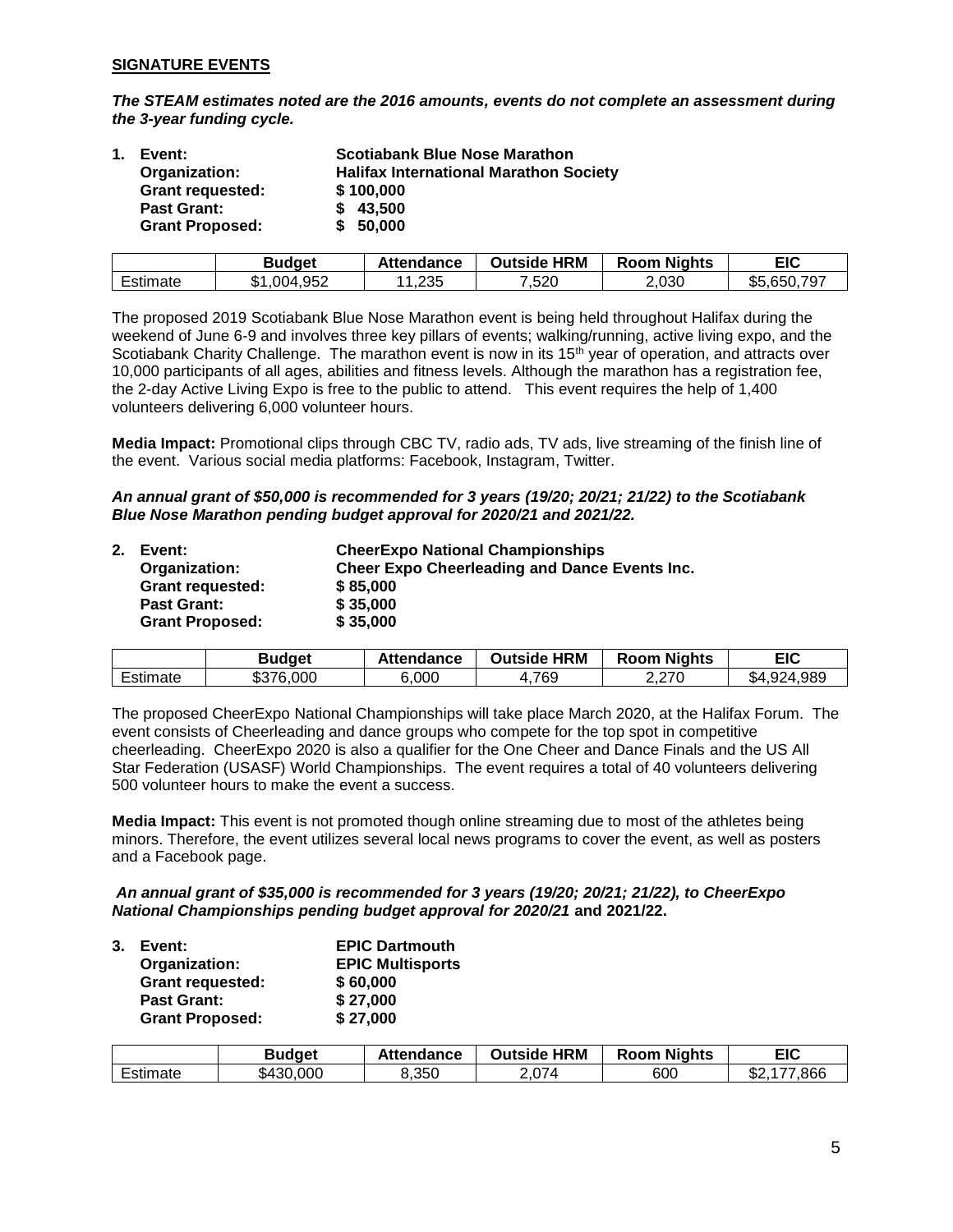# **SIGNATURE EVENTS**

*The STEAM estimates noted are the 2016 amounts, events do not complete an assessment during the 3-year funding cycle.*

| $\mathbf 1$ . | Event:                  | <b>Scotiabank Blue Nose Marathon</b>          |
|---------------|-------------------------|-----------------------------------------------|
|               | Organization:           | <b>Halifax International Marathon Society</b> |
|               | <b>Grant requested:</b> | \$100,000                                     |
|               | <b>Past Grant:</b>      | \$43,500                                      |
|               | <b>Grant Proposed:</b>  | \$50,000                                      |

|          | Budget                 | Attendance | <b>HRM</b><br>Outside | <b>Room Nights</b> | EIC         |
|----------|------------------------|------------|-----------------------|--------------------|-------------|
| Estimate | 1,004,952<br>m,<br>الا | 235, ا     | 7,520                 | ∠,030              | \$5,650,797 |

The proposed 2019 Scotiabank Blue Nose Marathon event is being held throughout Halifax during the weekend of June 6-9 and involves three key pillars of events; walking/running, active living expo, and the Scotiabank Charity Challenge. The marathon event is now in its 15<sup>th</sup> year of operation, and attracts over 10,000 participants of all ages, abilities and fitness levels. Although the marathon has a registration fee, the 2-day Active Living Expo is free to the public to attend. This event requires the help of 1,400 volunteers delivering 6,000 volunteer hours.

**Media Impact:** Promotional clips through CBC TV, radio ads, TV ads, live streaming of the finish line of the event. Various social media platforms: Facebook, Instagram, Twitter.

*An annual grant of \$50,000 is recommended for 3 years (19/20; 20/21; 21/22) to the Scotiabank Blue Nose Marathon pending budget approval for 2020/21 and 2021/22.*

| 2. | Event:                  | <b>CheerExpo National Championships</b>              |
|----|-------------------------|------------------------------------------------------|
|    | Organization:           | <b>Cheer Expo Cheerleading and Dance Events Inc.</b> |
|    | <b>Grant requested:</b> | \$85,000                                             |
|    | <b>Past Grant:</b>      | \$35,000                                             |
|    | <b>Grant Proposed:</b>  | \$35,000                                             |

|                 | <b>Budget</b> | Attendance | <b>HRM</b><br>Outside | <b>Room Nights</b> | EIC             |
|-----------------|---------------|------------|-----------------------|--------------------|-----------------|
| - -<br>∟stimate | \$376,000     | 6,000      | 1,769                 | 2.270              | ,924,989<br>\$4 |

The proposed CheerExpo National Championships will take place March 2020, at the Halifax Forum. The event consists of Cheerleading and dance groups who compete for the top spot in competitive cheerleading. CheerExpo 2020 is also a qualifier for the One Cheer and Dance Finals and the US All Star Federation (USASF) World Championships. The event requires a total of 40 volunteers delivering 500 volunteer hours to make the event a success.

**Media Impact:** This event is not promoted though online streaming due to most of the athletes being minors. Therefore, the event utilizes several local news programs to cover the event, as well as posters and a Facebook page.

### *An annual grant of \$35,000 is recommended for 3 years (19/20; 20/21; 21/22), to CheerExpo National Championships pending budget approval for 2020/21* **and 2021/22.**

| $3_{-}$ | Event:                  | <b>EPIC Dartmouth</b>   |
|---------|-------------------------|-------------------------|
|         | Organization:           | <b>EPIC Multisports</b> |
|         | <b>Grant requested:</b> | \$60,000                |
|         | <b>Past Grant:</b>      | \$27,000                |
|         | <b>Grant Proposed:</b>  | \$27,000                |

|          | Budget    | Attendance | <b>HRM</b><br>Outside⊺ | <b>Room Nights</b> | EIC         |
|----------|-----------|------------|------------------------|--------------------|-------------|
| Estimate | \$430,000 | 8,350      | 2,074                  | 600                | 866.<br>J۷. |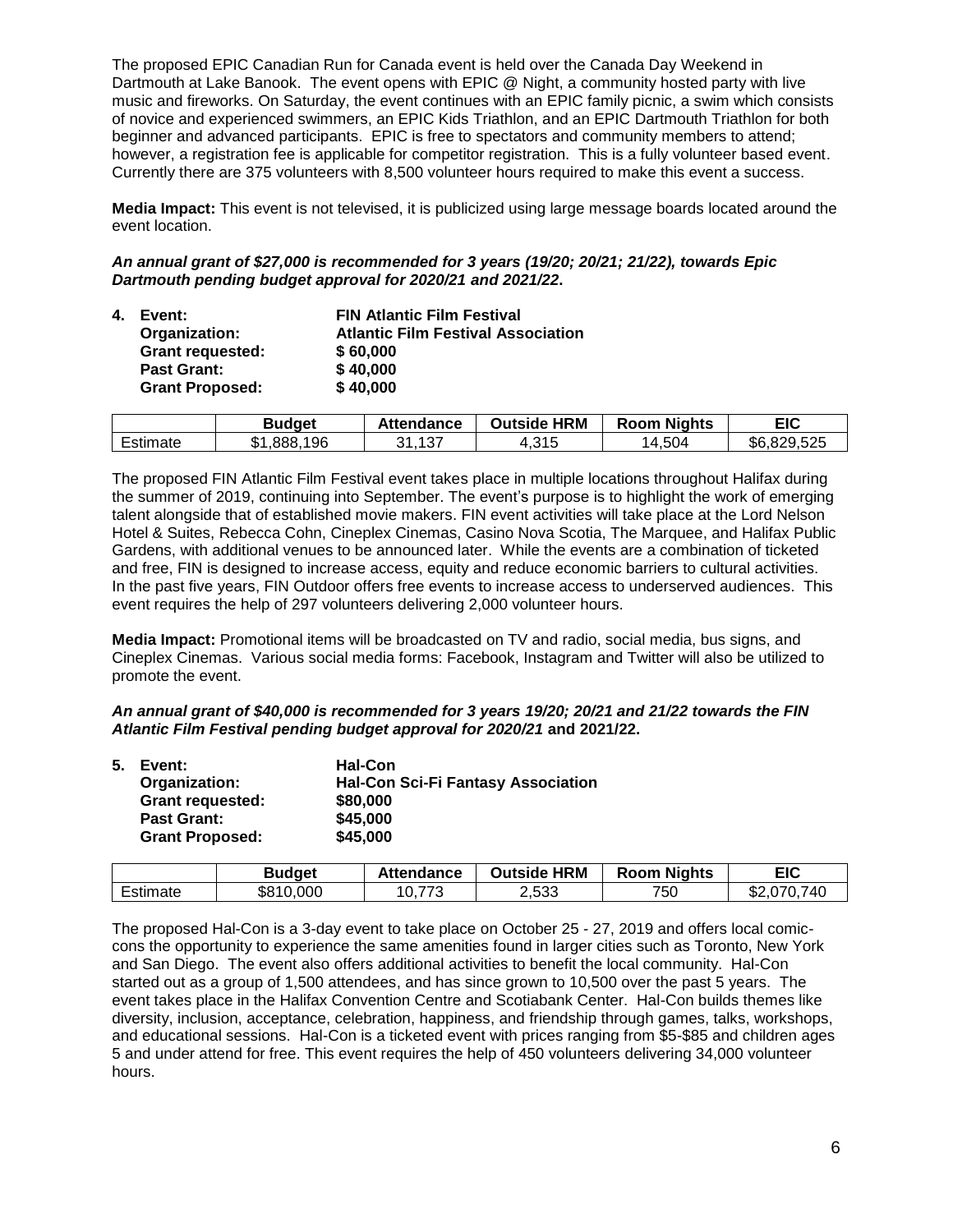The proposed EPIC Canadian Run for Canada event is held over the Canada Day Weekend in Dartmouth at Lake Banook. The event opens with EPIC @ Night, a community hosted party with live music and fireworks. On Saturday, the event continues with an EPIC family picnic, a swim which consists of novice and experienced swimmers, an EPIC Kids Triathlon, and an EPIC Dartmouth Triathlon for both beginner and advanced participants. EPIC is free to spectators and community members to attend; however, a registration fee is applicable for competitor registration. This is a fully volunteer based event. Currently there are 375 volunteers with 8,500 volunteer hours required to make this event a success.

**Media Impact:** This event is not televised, it is publicized using large message boards located around the event location.

*An annual grant of \$27,000 is recommended for 3 years (19/20; 20/21; 21/22), towards Epic Dartmouth pending budget approval for 2020/21 and 2021/22***.** 

| 4. Event:               | <b>FIN Atlantic Film Festival</b>         |
|-------------------------|-------------------------------------------|
| Organization:           | <b>Atlantic Film Festival Association</b> |
| <b>Grant requested:</b> | \$60,000                                  |
| <b>Past Grant:</b>      | \$40,000                                  |
| <b>Grant Proposed:</b>  | \$40,000                                  |

|          | <b>Budget</b> | <b>Attendance</b> | <b>Outside HRM</b> | <b>Room Nights</b> | EIC         |
|----------|---------------|-------------------|--------------------|--------------------|-------------|
| Estimate | 196<br>,888,  | 31,137            | 4,315              | 4,504<br>ıд        | \$6,829,525 |

The proposed FIN Atlantic Film Festival event takes place in multiple locations throughout Halifax during the summer of 2019, continuing into September. The event's purpose is to highlight the work of emerging talent alongside that of established movie makers. FIN event activities will take place at the Lord Nelson Hotel & Suites, Rebecca Cohn, Cineplex Cinemas, Casino Nova Scotia, The Marquee, and Halifax Public Gardens, with additional venues to be announced later. While the events are a combination of ticketed and free, FIN is designed to increase access, equity and reduce economic barriers to cultural activities. In the past five years, FIN Outdoor offers free events to increase access to underserved audiences. This event requires the help of 297 volunteers delivering 2,000 volunteer hours.

**Media Impact:** Promotional items will be broadcasted on TV and radio, social media, bus signs, and Cineplex Cinemas. Various social media forms: Facebook, Instagram and Twitter will also be utilized to promote the event.

*An annual grant of \$40,000 is recommended for 3 years 19/20; 20/21 and 21/22 towards the FIN Atlantic Film Festival pending budget approval for 2020/21* **and 2021/22.**

| 5. | Event:                  | <b>Hal-Con</b>                            |
|----|-------------------------|-------------------------------------------|
|    | Organization:           | <b>Hal-Con Sci-Fi Fantasy Association</b> |
|    | <b>Grant requested:</b> | \$80,000                                  |
|    | <b>Past Grant:</b>      | \$45,000                                  |
|    | <b>Grant Proposed:</b>  | \$45,000                                  |

|          | Budget    | <b>Attendance</b> | <b>Outside HRM</b> | <b>Room Nights</b> | EIC         |
|----------|-----------|-------------------|--------------------|--------------------|-------------|
| Estimate | \$810,000 | ララウ<br>10, r      | 2,533              | 750                | \$2,070,740 |

The proposed Hal-Con is a 3-day event to take place on October 25 - 27, 2019 and offers local comiccons the opportunity to experience the same amenities found in larger cities such as Toronto, New York and San Diego. The event also offers additional activities to benefit the local community. Hal-Con started out as a group of 1,500 attendees, and has since grown to 10,500 over the past 5 years. The event takes place in the Halifax Convention Centre and Scotiabank Center. Hal-Con builds themes like diversity, inclusion, acceptance, celebration, happiness, and friendship through games, talks, workshops, and educational sessions. Hal-Con is a ticketed event with prices ranging from \$5-\$85 and children ages 5 and under attend for free. This event requires the help of 450 volunteers delivering 34,000 volunteer hours.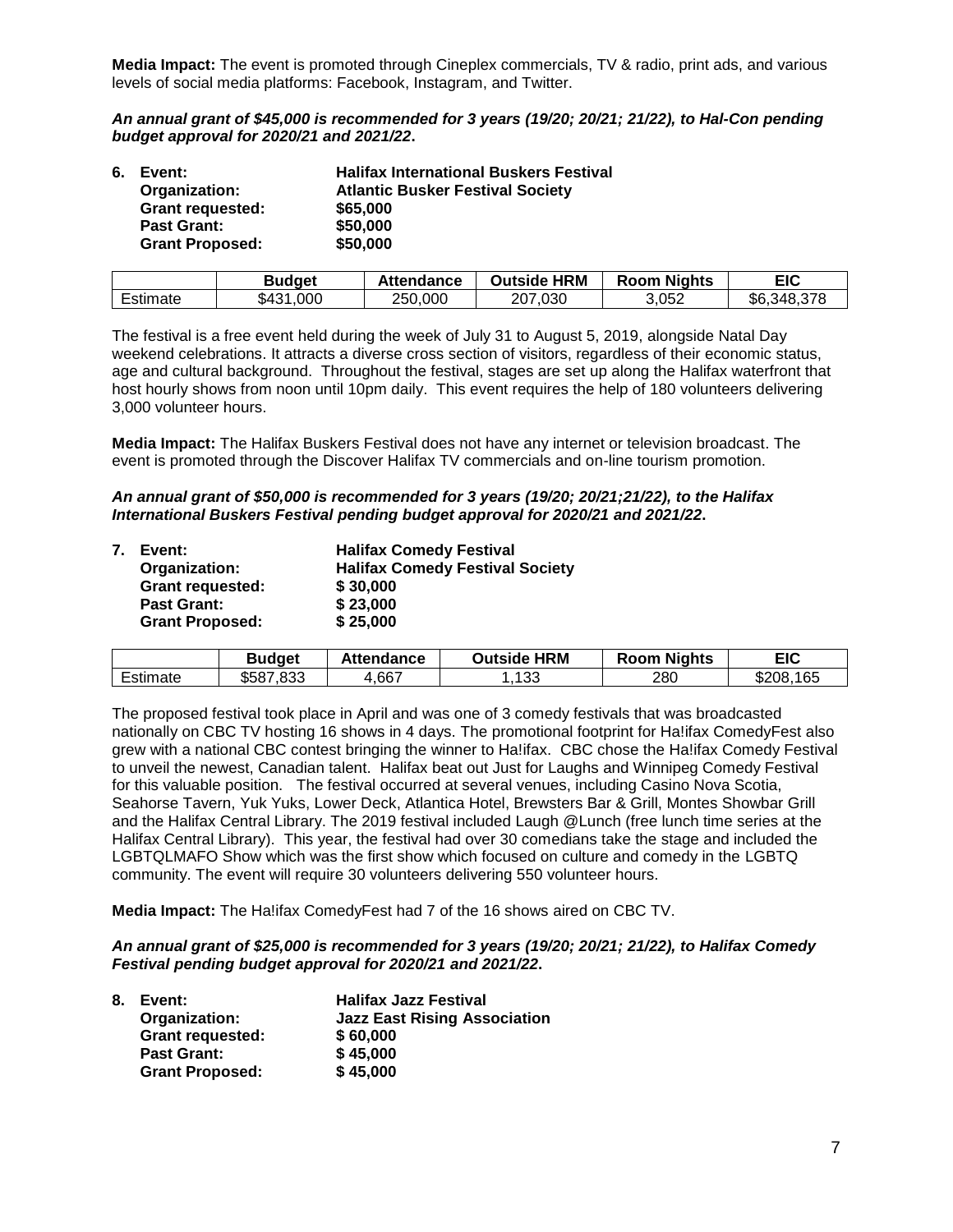**Media Impact:** The event is promoted through Cineplex commercials, TV & radio, print ads, and various levels of social media platforms: Facebook, Instagram, and Twitter.

*An annual grant of \$45,000 is recommended for 3 years (19/20; 20/21; 21/22), to Hal-Con pending budget approval for 2020/21 and 2021/22***.** 

| 6. Event:               | <b>Halifax International Buskers Festival</b> |
|-------------------------|-----------------------------------------------|
| Organization:           | <b>Atlantic Busker Festival Society</b>       |
| <b>Grant requested:</b> | \$65,000                                      |
| <b>Past Grant:</b>      | \$50,000                                      |
| <b>Grant Proposed:</b>  | \$50,000                                      |

|          | Budget        | Attendance | <b>Outside HRM</b> | <b>Room Nights</b> | EIC         |
|----------|---------------|------------|--------------------|--------------------|-------------|
| Estimate | ,000<br>\$431 | 250,000    | 207,030            | 3,052              | \$6,348,378 |

The festival is a free event held during the week of July 31 to August 5, 2019, alongside Natal Day weekend celebrations. It attracts a diverse cross section of visitors, regardless of their economic status, age and cultural background. Throughout the festival, stages are set up along the Halifax waterfront that host hourly shows from noon until 10pm daily. This event requires the help of 180 volunteers delivering 3,000 volunteer hours.

**Media Impact:** The Halifax Buskers Festival does not have any internet or television broadcast. The event is promoted through the Discover Halifax TV commercials and on-line tourism promotion.

*An annual grant of \$50,000 is recommended for 3 years (19/20; 20/21;21/22), to the Halifax International Buskers Festival pending budget approval for 2020/21 and 2021/22***.** 

|  | 7. Event:               | <b>Halifax Comedy Festival</b>         |
|--|-------------------------|----------------------------------------|
|  | Organization:           | <b>Halifax Comedy Festival Society</b> |
|  | <b>Grant requested:</b> | \$30,000                               |
|  | <b>Past Grant:</b>      | \$23,000                               |
|  | <b>Grant Proposed:</b>  | \$25,000                               |

|          | Budget    | Attendance | <b>Outside HRM</b> | <b>Room Nights</b> | EIC       |
|----------|-----------|------------|--------------------|--------------------|-----------|
| Estimate | \$587.833 | 667,،      | 133                | 280                | \$208,165 |

The proposed festival took place in April and was one of 3 comedy festivals that was broadcasted nationally on CBC TV hosting 16 shows in 4 days. The promotional footprint for Ha!ifax ComedyFest also grew with a national CBC contest bringing the winner to Ha!ifax. CBC chose the Ha!ifax Comedy Festival to unveil the newest, Canadian talent. Halifax beat out Just for Laughs and Winnipeg Comedy Festival for this valuable position. The festival occurred at several venues, including Casino Nova Scotia, Seahorse Tavern, Yuk Yuks, Lower Deck, Atlantica Hotel, Brewsters Bar & Grill, Montes Showbar Grill and the Halifax Central Library. The 2019 festival included Laugh @Lunch (free lunch time series at the Halifax Central Library). This year, the festival had over 30 comedians take the stage and included the LGBTQLMAFO Show which was the first show which focused on culture and comedy in the LGBTQ community. The event will require 30 volunteers delivering 550 volunteer hours.

**Media Impact:** The Ha!ifax ComedyFest had 7 of the 16 shows aired on CBC TV.

### *An annual grant of \$25,000 is recommended for 3 years (19/20; 20/21; 21/22), to Halifax Comedy Festival pending budget approval for 2020/21 and 2021/22***.**

| 8. | Event:                  | <b>Halifax Jazz Festival</b>        |
|----|-------------------------|-------------------------------------|
|    | Organization:           | <b>Jazz East Rising Association</b> |
|    | <b>Grant requested:</b> | \$60,000                            |
|    | <b>Past Grant:</b>      | \$45,000                            |
|    | <b>Grant Proposed:</b>  | \$45,000                            |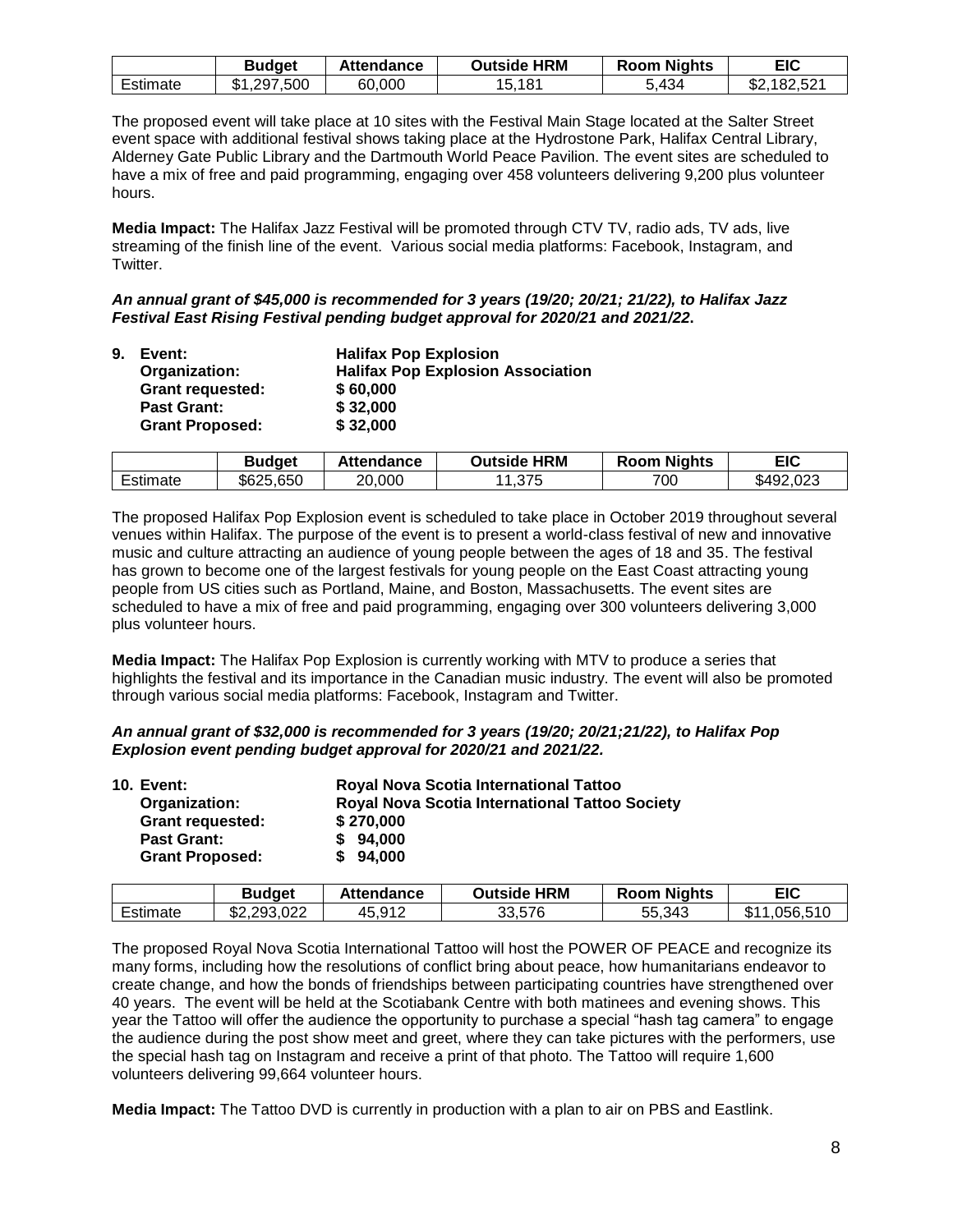|          | Budget                         | Attendance | <b>Outside HRM</b> | <b>Room Nights</b> | EIC                        |
|----------|--------------------------------|------------|--------------------|--------------------|----------------------------|
| ⊨stımate | .500<br>ጥላ<br>297<br>۰D<br>ت ۔ | 60,000     | 181<br>J.          | ,434<br>J.         | .,182,521<br>æη<br>. D.Z., |

The proposed event will take place at 10 sites with the Festival Main Stage located at the Salter Street event space with additional festival shows taking place at the Hydrostone Park, Halifax Central Library, Alderney Gate Public Library and the Dartmouth World Peace Pavilion. The event sites are scheduled to have a mix of free and paid programming, engaging over 458 volunteers delivering 9,200 plus volunteer hours.

**Media Impact:** The Halifax Jazz Festival will be promoted through CTV TV, radio ads, TV ads, live streaming of the finish line of the event. Various social media platforms: Facebook, Instagram, and Twitter.

*An annual grant of \$45,000 is recommended for 3 years (19/20; 20/21; 21/22), to Halifax Jazz Festival East Rising Festival pending budget approval for 2020/21 and 2021/22***.** 

| 9. | Event:                  | <b>Halifax Pop Explosion</b>             |
|----|-------------------------|------------------------------------------|
|    | Organization:           | <b>Halifax Pop Explosion Association</b> |
|    | <b>Grant requested:</b> | \$60,000                                 |
|    | <b>Past Grant:</b>      | \$32,000                                 |
|    | <b>Grant Proposed:</b>  | \$32,000                                 |

|          | Budaet    | Attendance | <b>Outside HRM</b> | <b>Nights</b><br>Room | EIC       |
|----------|-----------|------------|--------------------|-----------------------|-----------|
| Estimate | \$625,650 | 20,000     | 1.375              | 700                   | \$492,023 |

The proposed Halifax Pop Explosion event is scheduled to take place in October 2019 throughout several venues within Halifax. The purpose of the event is to present a world-class festival of new and innovative music and culture attracting an audience of young people between the ages of 18 and 35. The festival has grown to become one of the largest festivals for young people on the East Coast attracting young people from US cities such as Portland, Maine, and Boston, Massachusetts. The event sites are scheduled to have a mix of free and paid programming, engaging over 300 volunteers delivering 3,000 plus volunteer hours.

**Media Impact:** The Halifax Pop Explosion is currently working with MTV to produce a series that highlights the festival and its importance in the Canadian music industry. The event will also be promoted through various social media platforms: Facebook, Instagram and Twitter.

| An annual grant of \$32,000 is recommended for 3 years (19/20; 20/21;21/22), to Halifax Pop |  |
|---------------------------------------------------------------------------------------------|--|
| Explosion event pending budget approval for 2020/21 and 2021/22.                            |  |

| <b>10. Event:</b>       | Royal Nova Scotia International Tattoo                |
|-------------------------|-------------------------------------------------------|
| Organization:           | <b>Royal Nova Scotia International Tattoo Society</b> |
| <b>Grant requested:</b> | \$270,000                                             |
| <b>Past Grant:</b>      | \$94,000                                              |
| <b>Grant Proposed:</b>  | \$94,000                                              |
|                         |                                                       |

|         | Budqet                       | Attendance | <b>HRM</b><br>Outside | २oom Nights | EIC                               |
|---------|------------------------------|------------|-----------------------|-------------|-----------------------------------|
| stimate | .022<br>୨୦२<br>ጦጣ<br>- JAC 2 | 45,912     | 33,576                | 55,343      | .510<br>، ۱5۴<br><b>C</b> 1<br>۰D |

The proposed Royal Nova Scotia International Tattoo will host the POWER OF PEACE and recognize its many forms, including how the resolutions of conflict bring about peace, how humanitarians endeavor to create change, and how the bonds of friendships between participating countries have strengthened over 40 years. The event will be held at the Scotiabank Centre with both matinees and evening shows. This year the Tattoo will offer the audience the opportunity to purchase a special "hash tag camera" to engage the audience during the post show meet and greet, where they can take pictures with the performers, use the special hash tag on Instagram and receive a print of that photo. The Tattoo will require 1,600 volunteers delivering 99,664 volunteer hours.

**Media Impact:** The Tattoo DVD is currently in production with a plan to air on PBS and Eastlink.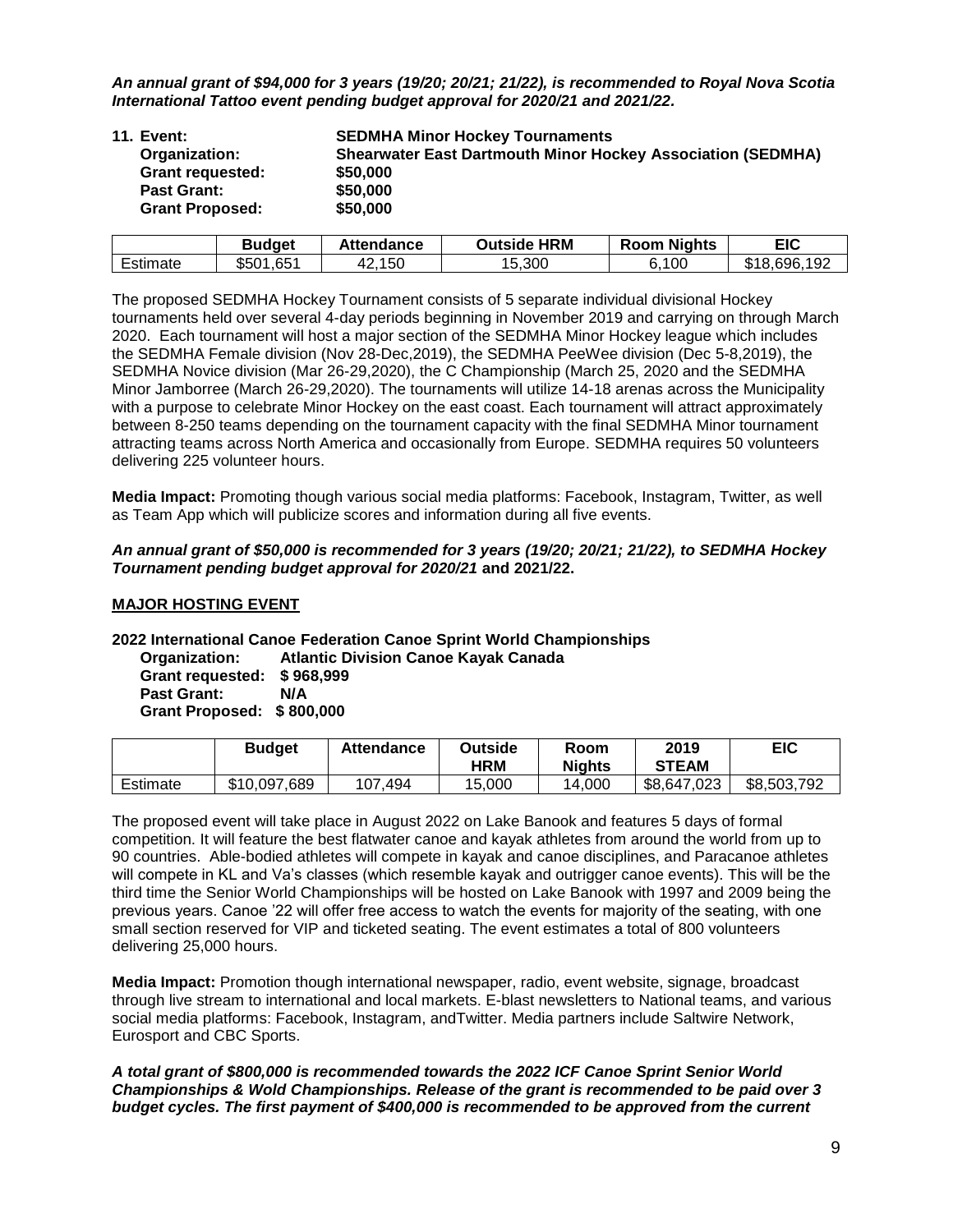*An annual grant of \$94,000 for 3 years (19/20; 20/21; 21/22), is recommended to Royal Nova Scotia International Tattoo event pending budget approval for 2020/21 and 2021/22.*

| 11. Event:              | <b>SEDMHA Minor Hockey Tournaments</b>                             |
|-------------------------|--------------------------------------------------------------------|
| Organization:           | <b>Shearwater East Dartmouth Minor Hockey Association (SEDMHA)</b> |
| <b>Grant requested:</b> | \$50,000                                                           |
| <b>Past Grant:</b>      | \$50,000                                                           |
| <b>Grant Proposed:</b>  | \$50,000                                                           |

|                                                | Budqet        | Attendance  | Outside HRM | <b>Room Nights</b> | EIC             |
|------------------------------------------------|---------------|-------------|-------------|--------------------|-----------------|
| the property of the control of the<br>Estimate | ,651<br>\$501 | ,150<br>42. | 15,300      | .100               | ,696,192<br>ፍ1Ջ |

The proposed SEDMHA Hockey Tournament consists of 5 separate individual divisional Hockey tournaments held over several 4-day periods beginning in November 2019 and carrying on through March 2020. Each tournament will host a major section of the SEDMHA Minor Hockey league which includes the SEDMHA Female division (Nov 28-Dec,2019), the SEDMHA PeeWee division (Dec 5-8,2019), the SEDMHA Novice division (Mar 26-29,2020), the C Championship (March 25, 2020 and the SEDMHA Minor Jamborree (March 26-29,2020). The tournaments will utilize 14-18 arenas across the Municipality with a purpose to celebrate Minor Hockey on the east coast. Each tournament will attract approximately between 8-250 teams depending on the tournament capacity with the final SEDMHA Minor tournament attracting teams across North America and occasionally from Europe. SEDMHA requires 50 volunteers delivering 225 volunteer hours.

**Media Impact:** Promoting though various social media platforms: Facebook, Instagram, Twitter, as well as Team App which will publicize scores and information during all five events.

### *An annual grant of \$50,000 is recommended for 3 years (19/20; 20/21; 21/22), to SEDMHA Hockey Tournament pending budget approval for 2020/21* **and 2021/22.**

### **MAJOR HOSTING EVENT**

# **2022 International Canoe Federation Canoe Sprint World Championships**

**Atlantic Division Canoe Kayak Canada Grant requested: \$ 968,999 Past Grant: Grant Proposed: \$ 800,000**

| <b>Budget</b> | <b>Attendance</b> | Outside | Room          | 201        |
|---------------|-------------------|---------|---------------|------------|
|               |                   | ᄖᇟ      | <b>Nights</b> | <b>CTE</b> |

|          | <b>Budget</b> | <b>Attendance</b> | <b>Outside</b><br><b>HRM</b> | Room<br><b>Niahts</b> | 2019<br><b>STEAM</b> | EIC         |
|----------|---------------|-------------------|------------------------------|-----------------------|----------------------|-------------|
| Estimate | \$10,097,689  | .494<br>107       | 15.000                       | 14.000                | \$8,647,023          | \$8,503,792 |

The proposed event will take place in August 2022 on Lake Banook and features 5 days of formal competition. It will feature the best flatwater canoe and kayak athletes from around the world from up to 90 countries. Able-bodied athletes will compete in kayak and canoe disciplines, and Paracanoe athletes will compete in KL and Va's classes (which resemble kayak and outrigger canoe events). This will be the third time the Senior World Championships will be hosted on Lake Banook with 1997 and 2009 being the previous years. Canoe '22 will offer free access to watch the events for majority of the seating, with one small section reserved for VIP and ticketed seating. The event estimates a total of 800 volunteers delivering 25,000 hours.

**Media Impact:** Promotion though international newspaper, radio, event website, signage, broadcast through live stream to international and local markets. E-blast newsletters to National teams, and various social media platforms: Facebook, Instagram, andTwitter. Media partners include Saltwire Network, Eurosport and CBC Sports.

*A total grant of \$800,000 is recommended towards the 2022 ICF Canoe Sprint Senior World Championships & Wold Championships. Release of the grant is recommended to be paid over 3 budget cycles. The first payment of \$400,000 is recommended to be approved from the current*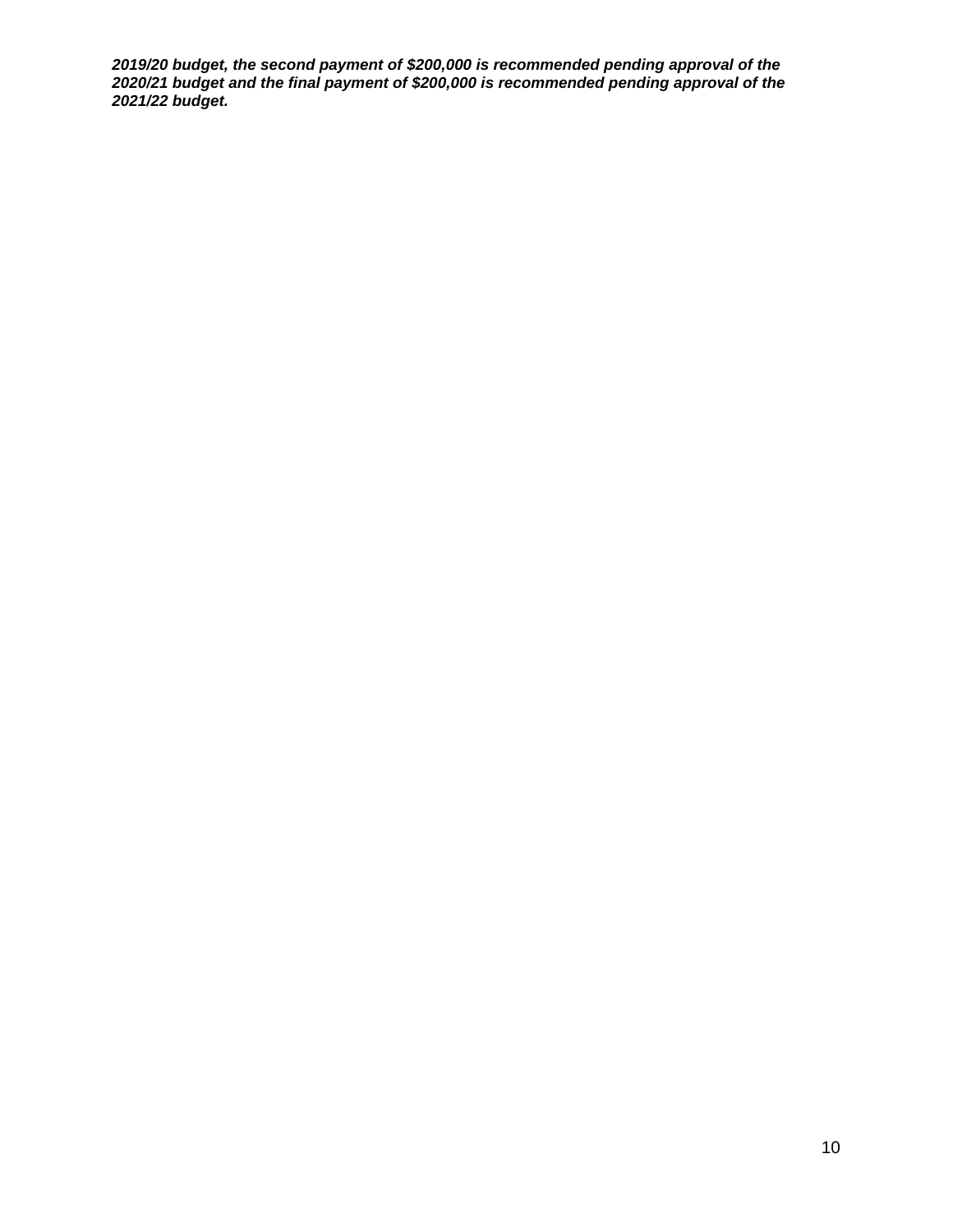*2019/20 budget, the second payment of \$200,000 is recommended pending approval of the 2020/21 budget and the final payment of \$200,000 is recommended pending approval of the 2021/22 budget.*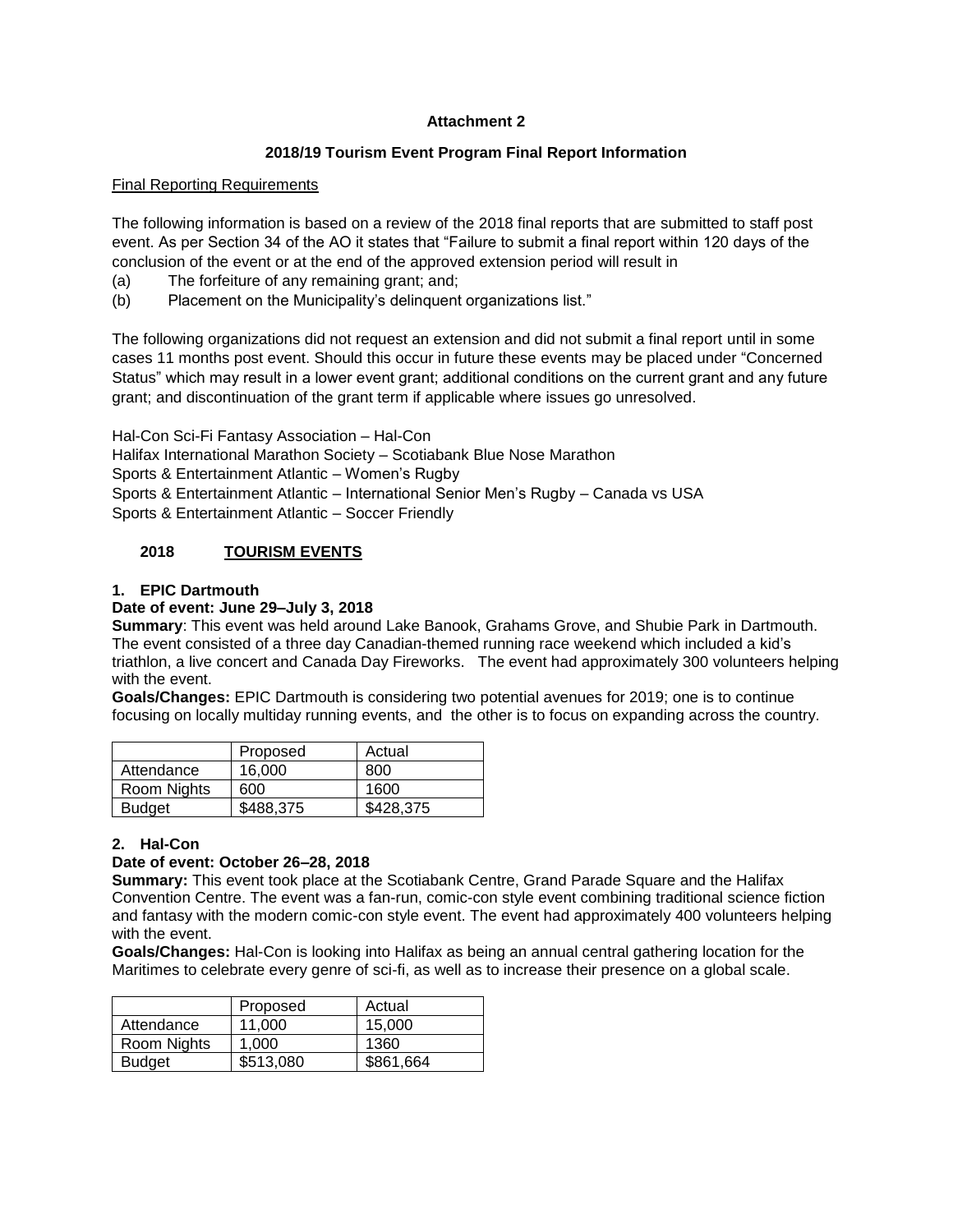# **Attachment 2**

# **2018/19 Tourism Event Program Final Report Information**

# Final Reporting Requirements

The following information is based on a review of the 2018 final reports that are submitted to staff post event. As per Section 34 of the AO it states that "Failure to submit a final report within 120 days of the conclusion of the event or at the end of the approved extension period will result in

- (a) The forfeiture of any remaining grant; and;
- (b) Placement on the Municipality's delinquent organizations list."

The following organizations did not request an extension and did not submit a final report until in some cases 11 months post event. Should this occur in future these events may be placed under "Concerned Status" which may result in a lower event grant; additional conditions on the current grant and any future grant; and discontinuation of the grant term if applicable where issues go unresolved.

Hal-Con Sci-Fi Fantasy Association – Hal-Con Halifax International Marathon Society – Scotiabank Blue Nose Marathon Sports & Entertainment Atlantic – Women's Rugby Sports & Entertainment Atlantic – International Senior Men's Rugby – Canada vs USA Sports & Entertainment Atlantic – Soccer Friendly

# **2018 TOURISM EVENTS**

# **1. EPIC Dartmouth**

# **Date of event: June 29–July 3, 2018**

**Summary**: This event was held around Lake Banook, Grahams Grove, and Shubie Park in Dartmouth. The event consisted of a three day Canadian-themed running race weekend which included a kid's triathlon, a live concert and Canada Day Fireworks. The event had approximately 300 volunteers helping with the event.

**Goals/Changes:** EPIC Dartmouth is considering two potential avenues for 2019; one is to continue focusing on locally multiday running events, and the other is to focus on expanding across the country.

|               | Proposed  | Actual    |
|---------------|-----------|-----------|
| Attendance    | 16.000    | 800       |
| Room Nights   | 600       | 1600      |
| <b>Budget</b> | \$488,375 | \$428,375 |

# **2. Hal-Con**

### **Date of event: October 26–28, 2018**

**Summary:** This event took place at the Scotiabank Centre, Grand Parade Square and the Halifax Convention Centre. The event was a fan-run, comic-con style event combining traditional science fiction and fantasy with the modern comic-con style event. The event had approximately 400 volunteers helping with the event.

**Goals/Changes:** Hal-Con is looking into Halifax as being an annual central gathering location for the Maritimes to celebrate every genre of sci-fi, as well as to increase their presence on a global scale.

|               | Proposed  | Actual    |
|---------------|-----------|-----------|
| Attendance    | 11.000    | 15.000    |
| Room Nights   | 1.000     | 1360      |
| <b>Budget</b> | \$513,080 | \$861,664 |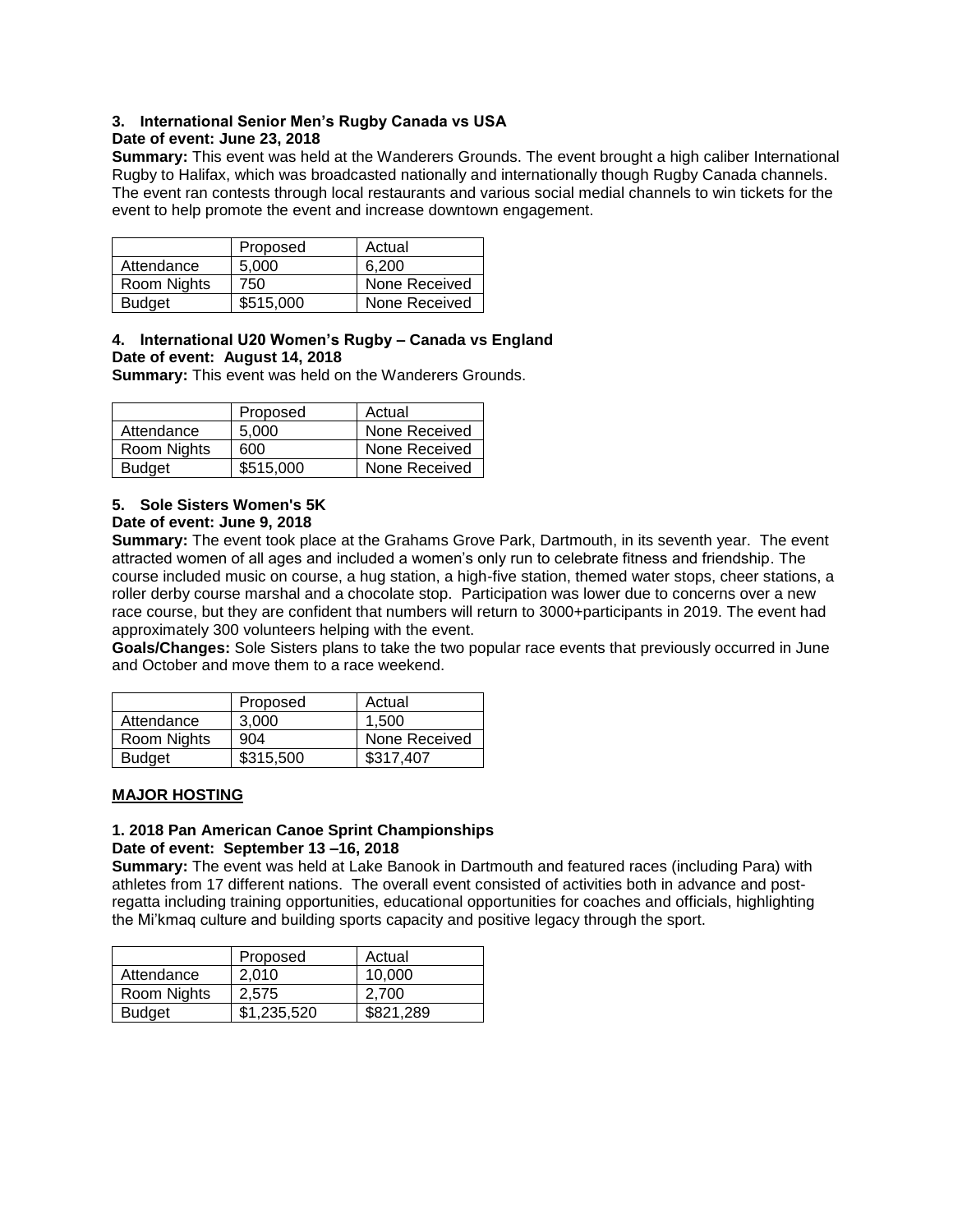# **3. International Senior Men's Rugby Canada vs USA**

# **Date of event: June 23, 2018**

**Summary:** This event was held at the Wanderers Grounds. The event brought a high caliber International Rugby to Halifax, which was broadcasted nationally and internationally though Rugby Canada channels. The event ran contests through local restaurants and various social medial channels to win tickets for the event to help promote the event and increase downtown engagement.

|               | Proposed  | Actual        |
|---------------|-----------|---------------|
| Attendance    | 5.000     | 6.200         |
| Room Nights   | 750       | None Received |
| <b>Budget</b> | \$515,000 | None Received |

### **4. International U20 Women's Rugby – Canada vs England Date of event: August 14, 2018**

**Summary:** This event was held on the Wanderers Grounds.

|               | Proposed  | Actual        |
|---------------|-----------|---------------|
| Attendance    | 5.000     | None Received |
| Room Nights   | 600       | None Received |
| <b>Budget</b> | \$515,000 | None Received |

# **5. Sole Sisters Women's 5K**

### **Date of event: June 9, 2018**

**Summary:** The event took place at the Grahams Grove Park, Dartmouth, in its seventh year. The event attracted women of all ages and included a women's only run to celebrate fitness and friendship. The course included music on course, a hug station, a high-five station, themed water stops, cheer stations, a roller derby course marshal and a chocolate stop. Participation was lower due to concerns over a new race course, but they are confident that numbers will return to 3000+participants in 2019. The event had approximately 300 volunteers helping with the event.

**Goals/Changes:** Sole Sisters plans to take the two popular race events that previously occurred in June and October and move them to a race weekend.

|               | Proposed  | Actual        |
|---------------|-----------|---------------|
| Attendance    | 3.000     | 1.500         |
| Room Nights   | 904       | None Received |
| <b>Budget</b> | \$315,500 | \$317,407     |

# **MAJOR HOSTING**

# **1. 2018 Pan American Canoe Sprint Championships**

### **Date of event: September 13 –16, 2018**

**Summary:** The event was held at Lake Banook in Dartmouth and featured races (including Para) with athletes from 17 different nations. The overall event consisted of activities both in advance and postregatta including training opportunities, educational opportunities for coaches and officials, highlighting the Mi'kmaq culture and building sports capacity and positive legacy through the sport.

|               | Proposed    | Actual    |
|---------------|-------------|-----------|
| Attendance    | 2.010       | 10,000    |
| Room Nights   | 2.575       | 2.700     |
| <b>Budget</b> | \$1,235,520 | \$821,289 |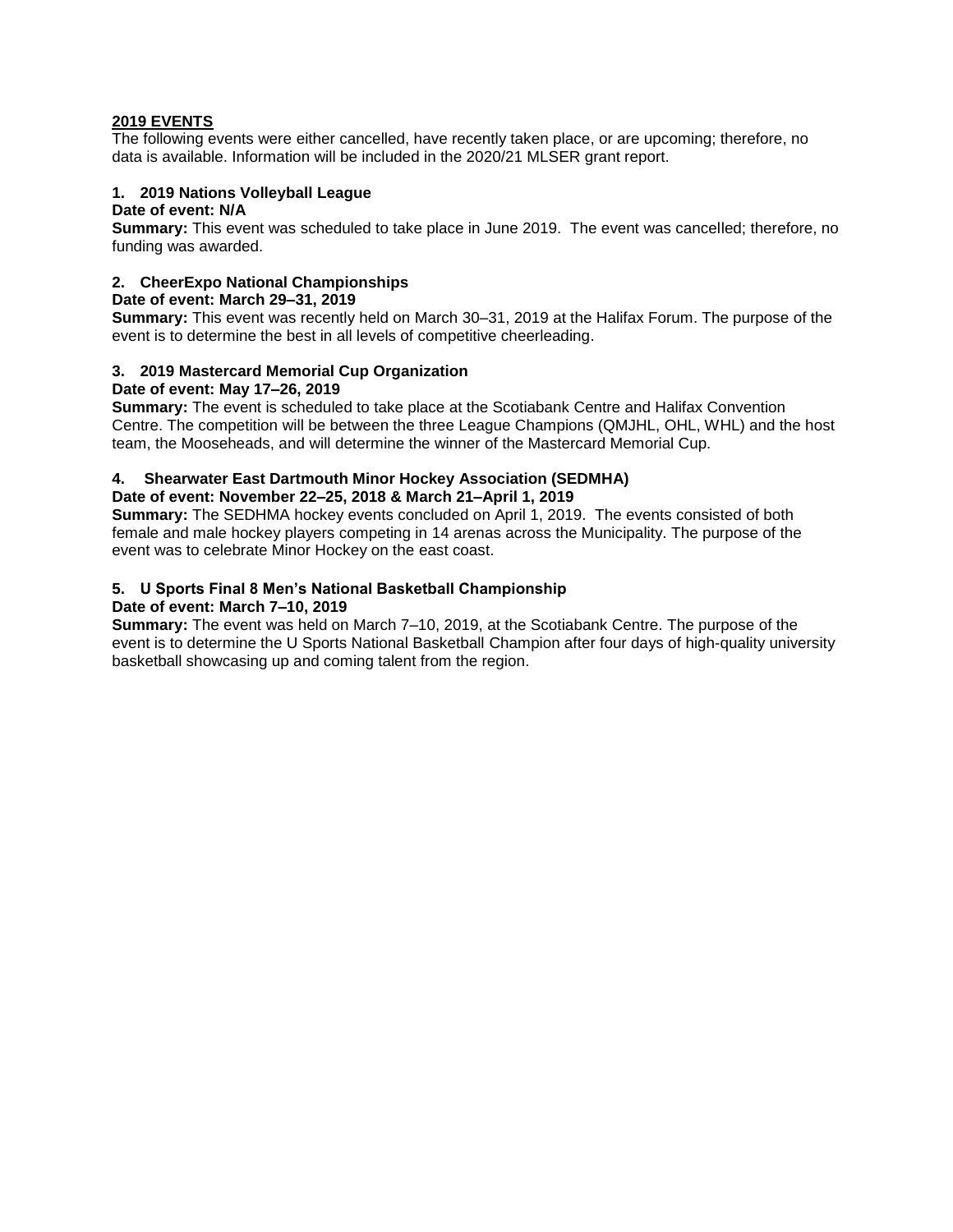# **2019 EVENTS**

The following events were either cancelled, have recently taken place, or are upcoming; therefore, no data is available. Information will be included in the 2020/21 MLSER grant report.

# **1. 2019 Nations Volleyball League**

# **Date of event: N/A**

**Summary:** This event was scheduled to take place in June 2019. The event was cancelled; therefore, no funding was awarded.

### **2. CheerExpo National Championships**

### **Date of event: March 29–31, 2019**

**Summary:** This event was recently held on March 30–31, 2019 at the Halifax Forum. The purpose of the event is to determine the best in all levels of competitive cheerleading.

# **3. 2019 Mastercard Memorial Cup Organization**

### **Date of event: May 17–26, 2019**

**Summary:** The event is scheduled to take place at the Scotiabank Centre and Halifax Convention Centre. The competition will be between the three League Champions (QMJHL, OHL, WHL) and the host team, the Mooseheads, and will determine the winner of the Mastercard Memorial Cup.

# **4. Shearwater East Dartmouth Minor Hockey Association (SEDMHA)**

# **Date of event: November 22–25, 2018 & March 21–April 1, 2019**

**Summary:** The SEDHMA hockey events concluded on April 1, 2019. The events consisted of both female and male hockey players competing in 14 arenas across the Municipality. The purpose of the event was to celebrate Minor Hockey on the east coast.

# **5. U Sports Final 8 Men's National Basketball Championship**

# **Date of event: March 7–10, 2019**

**Summary:** The event was held on March 7–10, 2019, at the Scotiabank Centre. The purpose of the event is to determine the U Sports National Basketball Champion after four days of high-quality university basketball showcasing up and coming talent from the region.